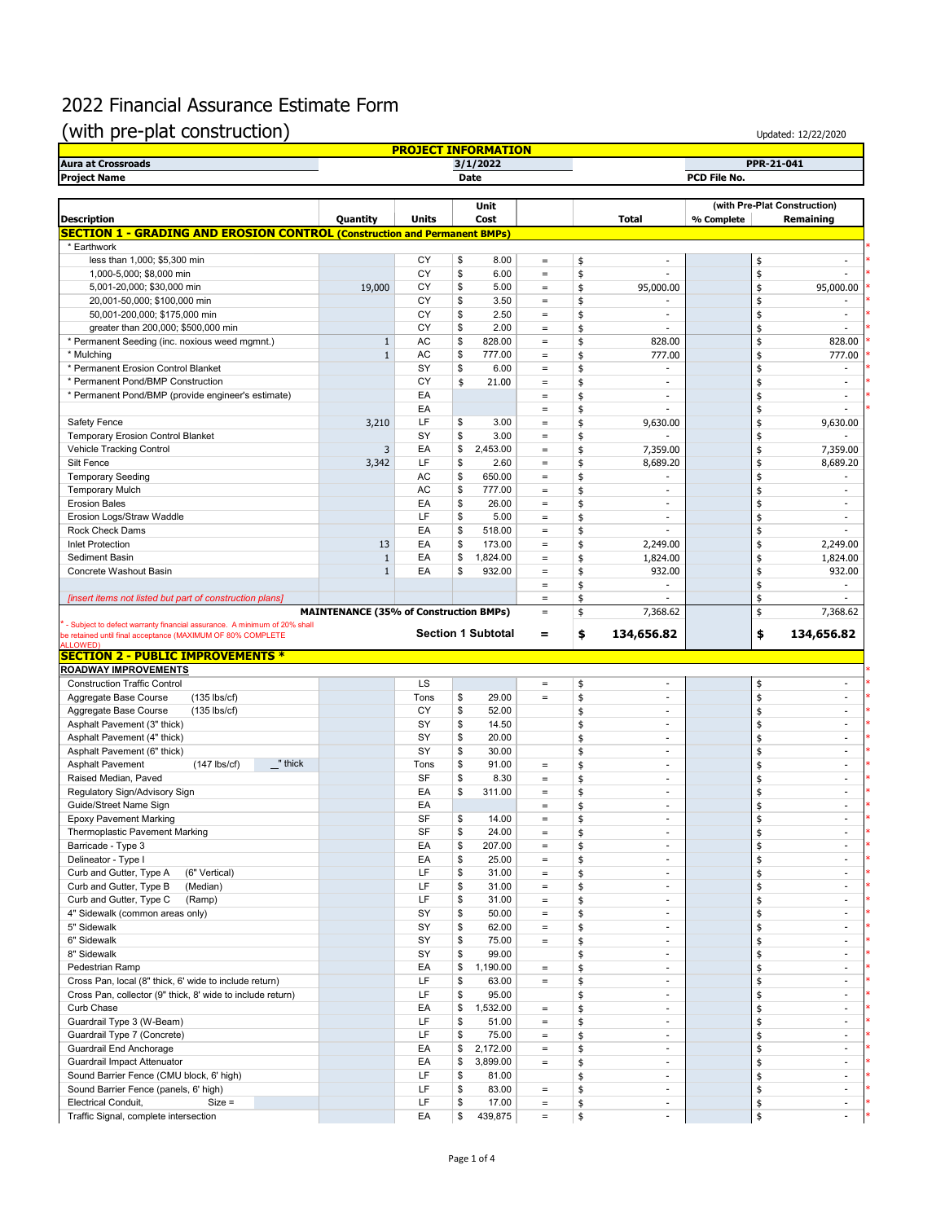## 2022 Financial Assurance Estimate Form

## (with pre-plat construction)

| <b>Aura at Crossroads</b>                                                        |                                               |              | <b>PROJECT INFORMATION</b><br>3/1/2022 |                   |                                |            | PPR-21-041 |                          |  |
|----------------------------------------------------------------------------------|-----------------------------------------------|--------------|----------------------------------------|-------------------|--------------------------------|------------|------------|--------------------------|--|
| <b>Project Name</b>                                                              |                                               |              | Date                                   |                   | PCD File No.                   |            |            |                          |  |
|                                                                                  |                                               |              |                                        |                   |                                |            |            |                          |  |
|                                                                                  | Unit                                          |              |                                        |                   | (with Pre-Plat Construction)   |            |            |                          |  |
| <b>Description</b>                                                               | Quantity                                      | <b>Units</b> | Cost                                   |                   | <b>Total</b>                   | % Complete |            | Remaining                |  |
| <b>SECTION 1 - GRADING AND EROSION CONTROL (Construction and Permanent BMPs)</b> |                                               |              |                                        |                   |                                |            |            |                          |  |
| * Earthwork                                                                      |                                               |              |                                        |                   |                                |            |            |                          |  |
| less than 1,000; \$5,300 min                                                     |                                               | CY           | \$<br>8.00                             | $\qquad \qquad =$ | \$<br>$\sim$                   |            | \$         | ÷,                       |  |
| 1,000-5,000; \$8,000 min                                                         |                                               | CY           | \$<br>6.00                             | $\equiv$          | \$                             |            | \$         |                          |  |
| 5,001-20,000; \$30,000 min                                                       | 19,000                                        | CY           | \$<br>5.00                             | $\qquad \qquad =$ | \$<br>95,000.00                |            | \$         | 95,000.00                |  |
| 20,001-50,000; \$100,000 min                                                     |                                               | CY           | \$<br>3.50                             | $\equiv$          | \$                             |            | \$         |                          |  |
| 50,001-200,000; \$175,000 min                                                    |                                               | CY           | \$<br>2.50                             | $\qquad \qquad =$ | \$<br>$\sim$                   |            | \$         | $\sim$                   |  |
| greater than 200,000; \$500,000 min                                              |                                               | CY           | \$<br>2.00                             | $=$               | \$<br>$\overline{\phantom{a}}$ |            | \$         | ÷,                       |  |
| * Permanent Seeding (inc. noxious weed mgmnt.)                                   | $\mathbf{1}$                                  | <b>AC</b>    | \$<br>828.00                           | $\equiv$          | \$<br>828.00                   |            | \$         | 828.00                   |  |
| * Mulching                                                                       | $\mathbf{1}$                                  | <b>AC</b>    | \$<br>777.00                           | $=$               | \$<br>777.00                   |            | \$         | 777.00                   |  |
| * Permanent Erosion Control Blanket                                              |                                               | SY           | \$<br>6.00                             | $\qquad \qquad =$ | \$<br>$\sim$                   |            | \$         | $\sim$                   |  |
| * Permanent Pond/BMP Construction                                                |                                               | CY           | \$<br>21.00                            | $\equiv$          | \$<br>$\sim$                   |            | \$         | $\sim$                   |  |
| * Permanent Pond/BMP (provide engineer's estimate)                               |                                               | EA           |                                        | $\qquad \qquad =$ | \$<br>$\sim$                   |            | \$         | $\sim$                   |  |
|                                                                                  |                                               | EA           |                                        | $\qquad \qquad =$ | \$<br>$\overline{\phantom{a}}$ |            | \$         | ä,                       |  |
| Safety Fence                                                                     | 3,210                                         | LF           | \$<br>3.00                             | $\qquad \qquad =$ | \$<br>9,630.00                 |            | \$         | 9,630.00                 |  |
| <b>Temporary Erosion Control Blanket</b>                                         |                                               | SY           | \$<br>3.00                             | $\qquad \qquad =$ | \$                             |            | \$         |                          |  |
| Vehicle Tracking Control                                                         | 3                                             | EA           | \$<br>2,453.00                         | $\equiv$          | 7,359.00<br>\$                 |            | \$         | 7,359.00                 |  |
| Silt Fence                                                                       |                                               | LF           | \$<br>2.60                             |                   |                                |            |            |                          |  |
|                                                                                  | 3,342                                         | AC           | \$                                     | $=$               | \$<br>8,689.20                 |            | \$         | 8,689.20                 |  |
| <b>Temporary Seeding</b>                                                         |                                               |              | 650.00                                 | $\equiv$          | \$                             |            | \$         |                          |  |
| <b>Temporary Mulch</b>                                                           |                                               | AC           | \$<br>777.00                           | $\equiv$          | \$<br>$\sim$                   |            | \$         | $\sim$                   |  |
| <b>Erosion Bales</b>                                                             |                                               | EA           | \$<br>26.00                            | $=$               | \$<br>$\sim$                   |            | \$         | $\overline{\phantom{a}}$ |  |
| Erosion Logs/Straw Waddle                                                        |                                               | LF           | \$<br>5.00                             | $\equiv$          | \$                             |            | \$         |                          |  |
| Rock Check Dams                                                                  |                                               | EA           | \$<br>518.00                           | $=$               | \$<br>$\overline{\phantom{a}}$ |            | \$         | ÷.                       |  |
| <b>Inlet Protection</b>                                                          | 13                                            | EA           | \$<br>173.00                           | $\equiv$          | \$<br>2,249.00                 |            | \$         | 2,249.00                 |  |
| Sediment Basin                                                                   | $\mathbf{1}$                                  | EА           | \$<br>1,824.00                         | $\equiv$          | 1,824.00<br>\$                 |            | \$         | 1,824.00                 |  |
| Concrete Washout Basin                                                           | $\mathbf{1}$                                  | EA           | \$<br>932.00                           | $\equiv$          | \$<br>932.00                   |            | \$         | 932.00                   |  |
|                                                                                  |                                               |              |                                        | $\qquad \qquad =$ | \$                             |            | \$         |                          |  |
| [insert items not listed but part of construction plans]                         |                                               |              |                                        | $\qquad \qquad =$ | \$                             |            | \$         |                          |  |
|                                                                                  | <b>MAINTENANCE (35% of Construction BMPs)</b> |              |                                        | $\qquad \qquad =$ | \$<br>7,368.62                 |            | \$         | 7,368.62                 |  |
| - Subject to defect warranty financial assurance. A minimum of 20% shall         |                                               |              |                                        |                   |                                |            |            |                          |  |
| be retained until final acceptance (MAXIMUM OF 80% COMPLETE                      |                                               |              | <b>Section 1 Subtotal</b>              | $\equiv$          | 134,656.82<br>\$               |            | \$         | 134,656.82               |  |
| ALL OWED                                                                         |                                               |              |                                        |                   |                                |            |            |                          |  |
|                                                                                  |                                               |              |                                        |                   |                                |            |            |                          |  |
| <b>SECTION 2 - PUBLIC IMPROVEMENTS *</b>                                         |                                               |              |                                        |                   |                                |            |            |                          |  |
| ROADWAY IMPROVEMENTS                                                             |                                               |              |                                        |                   |                                |            |            |                          |  |
| <b>Construction Traffic Control</b>                                              |                                               | LS           |                                        | $\equiv$          | \$<br>$\overline{a}$           |            | \$         |                          |  |
| $(135$ lbs/cf)<br>Aggregate Base Course                                          |                                               | Tons         | \$<br>29.00                            | $=$               | \$<br>$\overline{\phantom{a}}$ |            | \$         | $\overline{\phantom{a}}$ |  |
| Aggregate Base Course<br>$(135$ lbs/cf)                                          |                                               | CY           | \$<br>52.00                            |                   | \$<br>$\sim$                   |            | \$         | $\sim$                   |  |
| Asphalt Pavement (3" thick)                                                      |                                               | <b>SY</b>    | \$<br>14.50                            |                   | \$<br>$\sim$                   |            | \$         | $\sim$                   |  |
| Asphalt Pavement (4" thick)                                                      |                                               | SY           | \$<br>20.00                            |                   | \$<br>$\sim$                   |            | \$         | $\sim$                   |  |
| Asphalt Pavement (6" thick)                                                      |                                               | SY           | \$<br>30.00                            |                   | \$<br>$\overline{\phantom{a}}$ |            | \$         | $\overline{\phantom{a}}$ |  |
| " thick<br><b>Asphalt Pavement</b><br>$(147$ lbs/cf)                             |                                               | Tons         | \$<br>91.00                            | $\qquad \qquad =$ | $\sim$                         |            |            | $\frac{1}{2}$            |  |
|                                                                                  |                                               |              |                                        | $\qquad \qquad =$ | \$<br>÷,                       |            | \$         | $\frac{1}{2}$            |  |
| Raised Median, Paved                                                             |                                               | SF           | \$<br>8.30                             |                   | \$<br>$\overline{\phantom{a}}$ |            | \$         | ÷.                       |  |
| Regulatory Sign/Advisory Sign                                                    |                                               | EA           | \$<br>311.00                           | $\qquad \qquad =$ | \$<br>$\sim$                   |            | \$         | $\sim$                   |  |
| Guide/Street Name Sign                                                           |                                               | EA           |                                        | $\qquad \qquad =$ | \$<br>¢                        |            | \$         |                          |  |
| <b>Epoxy Pavement Marking</b>                                                    |                                               | SF           | \$<br>14.00                            |                   |                                |            |            |                          |  |
| <b>Thermoplastic Pavement Marking</b>                                            |                                               | SF           | \$<br>24.00                            | $\equiv$          | \$<br>$\blacksquare$           |            | \$         | $\sim$                   |  |
| Barricade - Type 3                                                               |                                               | EA           | \$<br>207.00                           | $\equiv$          | \$<br>$\sim$                   |            | \$         | $\frac{1}{2}$            |  |
| Delineator - Type I                                                              |                                               | EA           | \$<br>25.00                            | $=$               | \$<br>$\sim$                   |            | \$         | $\sim$                   |  |
| Curb and Gutter, Type A<br>(6" Vertical)                                         |                                               | LF           | \$<br>31.00                            | $\equiv$          | \$<br>$\blacksquare$           |            | \$         | $\sim$                   |  |
| Curb and Gutter, Type B<br>(Median)                                              |                                               | LF           | \$<br>31.00                            | $\equiv$          | \$<br>$\overline{\phantom{a}}$ |            | \$         | $\sim$                   |  |
| Curb and Gutter, Type C<br>(Ramp)                                                |                                               | LF           | \$<br>31.00                            | $\qquad \qquad =$ | \$<br>$\overline{\phantom{a}}$ |            | \$         | $\sim$                   |  |
| 4" Sidewalk (common areas only)                                                  |                                               | SY           | \$<br>50.00                            | $\equiv$          | \$<br>$\overline{\phantom{a}}$ |            | \$         | ÷.                       |  |
| 5" Sidewalk                                                                      |                                               | SY           | \$<br>62.00                            | $\equiv$          | \$<br>$\overline{\phantom{a}}$ |            | \$         | $\sim$                   |  |
| 6" Sidewalk                                                                      |                                               | SY           | \$<br>75.00                            | $\equiv$          | \$<br>$\overline{\phantom{a}}$ |            | \$         | $\frac{1}{2}$            |  |
| 8" Sidewalk                                                                      |                                               | SY           | \$<br>99.00                            |                   | \$<br>$\overline{\phantom{a}}$ |            | \$         | $\blacksquare$           |  |
| Pedestrian Ramp                                                                  |                                               | EA           | \$<br>1,190.00                         | $\equiv$          | $\sim$                         |            |            | $\blacksquare$           |  |
|                                                                                  |                                               |              | \$                                     | $=$               | \$<br>$\sim$                   |            | \$         | $\sim$                   |  |
| Cross Pan, local (8" thick, 6' wide to include return)                           |                                               | LF           | 63.00                                  |                   | \$<br>$\overline{\phantom{a}}$ |            | \$         | $\sim$                   |  |
| Cross Pan, collector (9" thick, 8' wide to include return)                       |                                               | LF           | \$<br>95.00                            |                   | \$                             |            | \$         |                          |  |
| Curb Chase                                                                       |                                               | EA           | \$<br>1,532.00                         | $=$               | \$<br>$\sim$                   |            | \$         | $\sim$                   |  |
| Guardrail Type 3 (W-Beam)                                                        |                                               | LF           | \$<br>51.00                            | $\equiv$          | \$<br>$\overline{\phantom{a}}$ |            | \$         | ÷,                       |  |
| Guardrail Type 7 (Concrete)                                                      |                                               | LF           | 75.00<br>\$                            | $\equiv$          | \$<br>$\overline{\phantom{a}}$ |            | \$         | $\sim$                   |  |
| Guardrail End Anchorage                                                          |                                               | EA           | \$<br>2,172.00                         | $\equiv$          | \$<br>$\blacksquare$           |            | \$         | $\sim$                   |  |
| Guardrail Impact Attenuator                                                      |                                               | EA           | 3,899.00<br>\$                         | $\qquad \qquad =$ | \$<br>×.                       |            | \$         | $\sim$                   |  |
| Sound Barrier Fence (CMU block, 6' high)                                         |                                               | LF           | \$<br>81.00                            |                   | \$<br>×.                       |            | \$         | $\sim$                   |  |
| Sound Barrier Fence (panels, 6' high)                                            |                                               | LF           | \$<br>83.00                            | $\quad \  \  =$   | \$<br>$\overline{\phantom{a}}$ |            | \$         | $\overline{\phantom{a}}$ |  |
| <b>Electrical Conduit,</b><br>$Size =$                                           |                                               | LF           | \$<br>17.00                            | $\equiv$          | \$<br>$\overline{\phantom{a}}$ |            | \$         | $\overline{\phantom{a}}$ |  |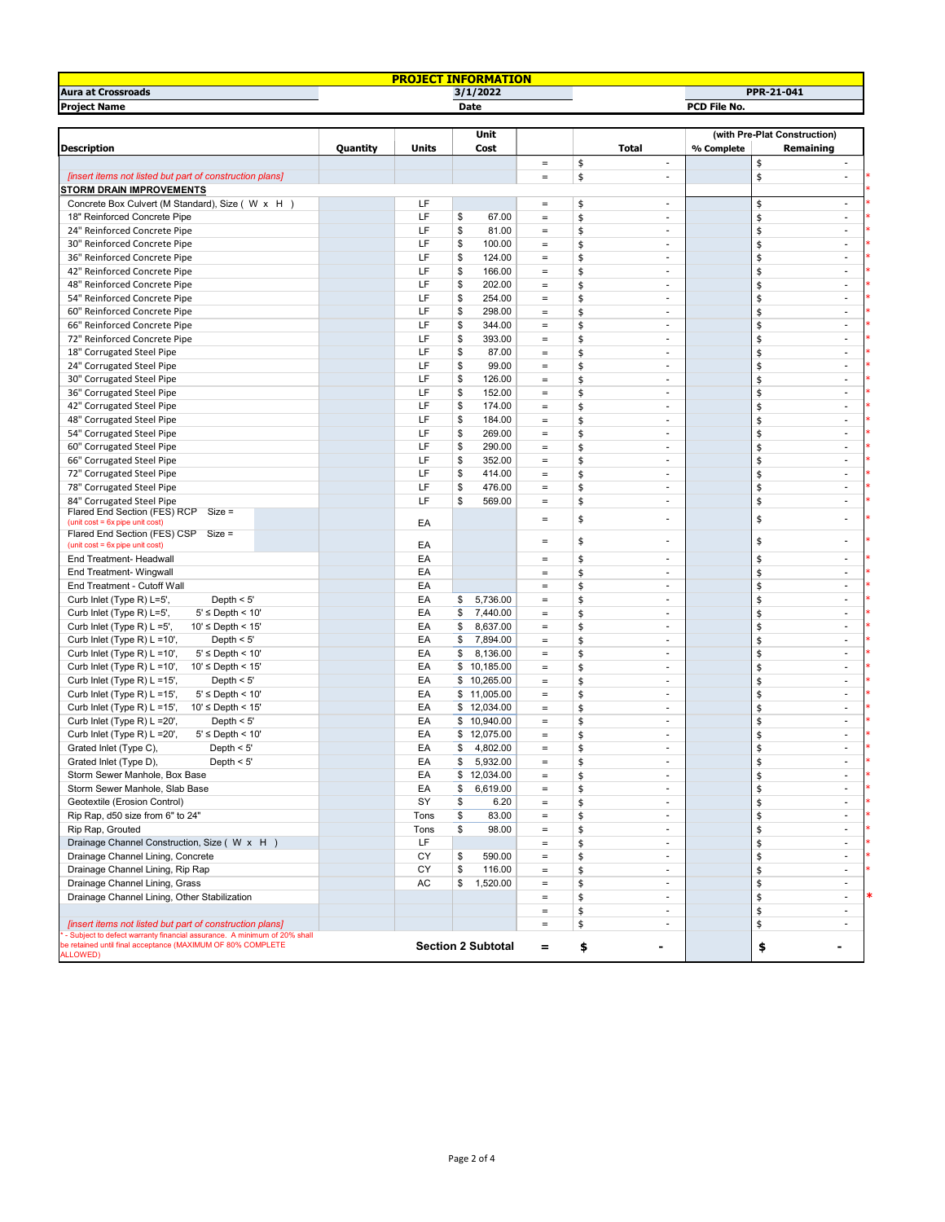| PPR-21-041<br><b>Project Name</b><br><b>Date</b><br>PCD File No.<br>(with Pre-Plat Construction)<br>Unit<br>Cost<br>% Complete<br>Quantity<br>Units<br>Total<br>Remaining<br>\$<br>\$<br>$\equiv$<br>÷.<br>$\sim$<br>\$<br>\$<br>[insert items not listed but part of construction plans]<br>$\equiv$<br>$\overline{\phantom{a}}$<br>$\sim$<br><b>STORM DRAIN IMPROVEMENTS</b><br>LF<br>\$<br>\$<br>Concrete Box Culvert (M Standard), Size (W x H)<br>$\equiv$<br>$\overline{\phantom{a}}$<br>$\overline{\phantom{a}}$<br>LF<br>18" Reinforced Concrete Pipe<br>\$<br>67.00<br>\$<br>\$<br>$\equiv$<br>$\sim$<br>$\sim$<br>LF<br>24" Reinforced Concrete Pipe<br>\$<br>81.00<br>\$<br>\$<br>$\equiv$<br>$\sim$<br>$\sim$<br>LF<br>\$<br>30" Reinforced Concrete Pipe<br>100.00<br>\$<br>\$<br>$\equiv$<br>$\overline{\phantom{a}}$<br>$\overline{\phantom{a}}$<br>LF<br>\$<br>36" Reinforced Concrete Pipe<br>124.00<br>\$<br>\$<br>$\equiv$<br>$\blacksquare$<br>$\sim$<br>LF<br>\$<br>\$<br>\$<br>42" Reinforced Concrete Pipe<br>166.00<br>$\equiv$<br>$\blacksquare$<br>$\overline{\phantom{a}}$<br>LF<br>\$<br>48" Reinforced Concrete Pipe<br>202.00<br>\$<br>\$<br>$\equiv$<br>٠<br>$\overline{\phantom{a}}$<br>LF<br>54" Reinforced Concrete Pipe<br>\$<br>254.00<br>\$<br>\$<br>$\equiv$<br>÷.<br>$\sim$<br>LF<br>\$<br>60" Reinforced Concrete Pipe<br>298.00<br>\$<br>\$<br>$\equiv$<br>$\sim$<br>$\sim$<br>LF<br>\$<br>66" Reinforced Concrete Pipe<br>344.00<br>\$<br>\$<br>$\equiv$<br>$\sim$<br>$\sim$<br>LF<br>\$<br>72" Reinforced Concrete Pipe<br>393.00<br>\$<br>\$<br>$\equiv$<br>$\sim$<br>$\sim$<br>LF<br>\$<br>\$<br>\$<br>18" Corrugated Steel Pipe<br>87.00<br>$\equiv$<br>$\sim$<br>$\sim$<br>LF<br>\$<br>\$<br>24" Corrugated Steel Pipe<br>99.00<br>\$<br>$\equiv$<br>÷,<br>$\overline{\phantom{a}}$<br>LF<br>30" Corrugated Steel Pipe<br>\$<br>126.00<br>\$<br>\$<br>$\equiv$<br>$\sim$<br>$\sim$<br>LF<br>36" Corrugated Steel Pipe<br>\$<br>152.00<br>\$<br>\$<br>$\equiv$<br>$\sim$<br>$\sim$<br>LF<br>\$<br>42" Corrugated Steel Pipe<br>174.00<br>\$<br>\$<br>$\equiv$<br>$\sim$<br>$\sim$<br>LF<br>\$<br>48" Corrugated Steel Pipe<br>184.00<br>\$<br>\$<br>$\equiv$<br>$\blacksquare$<br>LF<br>\$<br>54" Corrugated Steel Pipe<br>269.00<br>\$<br>\$<br>$\equiv$<br>$\overline{\phantom{a}}$<br>$\sim$<br>LF<br>\$<br>60" Corrugated Steel Pipe<br>290.00<br>\$<br>\$<br>$\equiv$<br>٠<br>$\overline{\phantom{a}}$<br>LF<br>\$<br>\$<br>66" Corrugated Steel Pipe<br>352.00<br>\$<br>$\equiv$<br>$\sim$<br>$\sim$<br>LF<br>72" Corrugated Steel Pipe<br>\$<br>414.00<br>\$<br>\$<br>$\equiv$<br>$\sim$<br>$\sim$<br>LF<br>\$<br>78" Corrugated Steel Pipe<br>476.00<br>\$<br>\$<br>$\equiv$<br>$\overline{\phantom{a}}$<br>÷.<br>LF<br>\$<br>\$<br>\$<br>84" Corrugated Steel Pipe<br>569.00<br>$\equiv$<br>$\sim$<br>$\sim$<br>Flared End Section (FES) RCP Size =<br>\$<br>\$<br>$\qquad \qquad =$<br>$\overline{\phantom{a}}$<br>(unit $cost = 6x$ pipe unit $cost$ )<br>EA<br>Flared End Section (FES) CSP<br>$Size =$<br>\$<br>\$<br>$\sim$<br>$\qquad \qquad =$<br>ä,<br>EA<br>(unit cost = 6x pipe unit cost)<br>EA<br>\$<br>End Treatment- Headwall<br>\$<br>$\equiv$<br>$\overline{\phantom{a}}$<br>$\overline{\phantom{a}}$<br>EA<br>\$<br>End Treatment- Wingwall<br>\$<br>$\equiv$<br>$\overline{\phantom{a}}$<br>$\sim$<br>EA<br>\$<br>\$<br>End Treatment - Cutoff Wall<br>$\equiv$<br>٠<br>$\overline{\phantom{a}}$<br>EA<br>Depth $< 5'$<br>\$<br>5,736.00<br>\$<br>Curb Inlet (Type R) L=5',<br>\$<br>$\equiv$<br>$\overline{\phantom{a}}$<br>$\overline{\phantom{a}}$<br>\$<br>Curb Inlet (Type R) L=5',<br>$5' \leq$ Depth < 10'<br>EA<br>7,440.00<br>\$<br>\$<br>$\equiv$<br>$\sim$<br>$\sim$<br>\$<br>Curb Inlet (Type R) L =5',<br>$10' \leq$ Depth < 15'<br>EA<br>8,637.00<br>\$<br>\$<br>$\equiv$<br>$\overline{\phantom{a}}$<br>$\sim$<br>\$<br>Curb Inlet (Type R) L =10',<br>Depth $< 5'$<br>EA<br>7,894.00<br>\$<br>\$<br>$\equiv$<br>$\sim$<br>$\sim$<br>\$<br>Curb Inlet (Type R) L =10',<br>$5' \leq$ Depth < 10'<br>EA<br>8,136.00<br>\$<br>\$<br>$\equiv$<br>$\overline{\phantom{a}}$<br>$\sim$<br>EA<br>\$<br>\$<br>Curb Inlet (Type R) L =10',<br>$10' \leq$ Depth < $15'$<br>\$10,185.00<br>$\equiv$<br>÷,<br>$\overline{\phantom{a}}$<br>\$<br>Curb Inlet (Type R) L =15',<br>Depth $< 5'$<br>EA<br>\$10,265.00<br>\$<br>$\equiv$<br>÷,<br>$\overline{\phantom{a}}$<br>$5' \leq$ Depth < 10'<br>EA<br>\$11,005.00<br>\$<br>\$<br>Curb Inlet (Type R) L =15',<br>$\equiv$<br>$\sim$<br>$\sim$<br>Curb Inlet (Type R) L =15',<br>$10' \leq$ Depth < 15'<br>EA<br>\$12,034.00<br>\$<br>\$<br>$\overline{\phantom{a}}$<br>$\equiv$<br>$\sim$<br>Curb Inlet (Type R) L = 20',<br>Depth $< 5'$<br>EA<br>\$10,940.00<br>\$<br>\$<br>$\equiv$<br>$\sim$<br>$\sim$<br>EA<br>Curb Inlet (Type R) L = 20',<br>$5' \leq$ Depth < 10'<br>\$12,075.00<br>\$<br>\$<br>$\equiv$<br>$\overline{\phantom{a}}$<br>$\overline{\phantom{a}}$<br>Depth $<$ 5'<br>EA<br>\$<br>4,802.00<br>\$<br>\$<br>Grated Inlet (Type C),<br>$\equiv$<br>$\overline{\phantom{a}}$<br>$\sim$<br>EA<br>\$<br>5,932.00<br>Grated Inlet (Type D),<br>Depth $< 5'$<br>\$<br>\$<br>÷<br>$=$<br>٠<br>\$<br>Storm Sewer Manhole, Box Base<br>EA<br>\$12,034.00<br>\$<br>$\equiv$<br>$\sim$<br>$\sim$<br>6,619.00<br>Storm Sewer Manhole, Slab Base<br>EA<br>\$<br>\$<br>\$<br>$\equiv$<br>$\sim$<br>$\overline{\phantom{a}}$<br>SY<br>\$<br>Geotextile (Erosion Control)<br>6.20<br>\$<br>\$<br>÷.<br>$=$<br>$\sim$<br>Rip Rap, d50 size from 6" to 24"<br>\$<br>83.00<br>\$<br>\$<br>Tons<br>$\equiv$<br>$\sim$<br>$\sim$<br>\$<br>\$<br>\$<br>Rip Rap, Grouted<br>Tons<br>98.00<br>$\equiv$<br>$\overline{\phantom{a}}$<br>$\sim$<br>Drainage Channel Construction, Size (W x H)<br>LF<br>\$<br>\$<br>$\equiv$<br>٠<br>$\sim$<br>Drainage Channel Lining, Concrete<br>CY<br>\$<br>\$<br>\$<br>590.00<br>$\equiv$<br>$\sim$<br>$\sim$<br>CY<br>\$<br>116.00<br>Drainage Channel Lining, Rip Rap<br>\$<br>\$<br>$\equiv$<br>$\sim$<br>$\sim$<br>AC<br>\$<br>Drainage Channel Lining, Grass<br>1,520.00<br>\$<br>\$<br>$\equiv$<br>$\sim$<br>Drainage Channel Lining, Other Stabilization<br>\$<br>\$<br>$\equiv$<br>$\overline{\phantom{a}}$<br>\$<br>\$<br>÷.<br>$\equiv$<br>\$<br>\$<br>[insert items not listed but part of construction plans]<br>$\equiv$<br>÷,<br>- Subject to defect warranty financial assurance. A minimum of 20% shall<br>be retained until final acceptance (MAXIMUM OF 80% COMPLETE<br><b>Section 2 Subtotal</b><br>\$<br>\$<br>=<br>۰ |                           |  | <b>PROJECT INFORMATION</b> |  |  |                          |  |  |  |
|----------------------------------------------------------------------------------------------------------------------------------------------------------------------------------------------------------------------------------------------------------------------------------------------------------------------------------------------------------------------------------------------------------------------------------------------------------------------------------------------------------------------------------------------------------------------------------------------------------------------------------------------------------------------------------------------------------------------------------------------------------------------------------------------------------------------------------------------------------------------------------------------------------------------------------------------------------------------------------------------------------------------------------------------------------------------------------------------------------------------------------------------------------------------------------------------------------------------------------------------------------------------------------------------------------------------------------------------------------------------------------------------------------------------------------------------------------------------------------------------------------------------------------------------------------------------------------------------------------------------------------------------------------------------------------------------------------------------------------------------------------------------------------------------------------------------------------------------------------------------------------------------------------------------------------------------------------------------------------------------------------------------------------------------------------------------------------------------------------------------------------------------------------------------------------------------------------------------------------------------------------------------------------------------------------------------------------------------------------------------------------------------------------------------------------------------------------------------------------------------------------------------------------------------------------------------------------------------------------------------------------------------------------------------------------------------------------------------------------------------------------------------------------------------------------------------------------------------------------------------------------------------------------------------------------------------------------------------------------------------------------------------------------------------------------------------------------------------------------------------------------------------------------------------------------------------------------------------------------------------------------------------------------------------------------------------------------------------------------------------------------------------------------------------------------------------------------------------------------------------------------------------------------------------------------------------------------------------------------------------------------------------------------------------------------------------------------------------------------------------------------------------------------------------------------------------------------------------------------------------------------------------------------------------------------------------------------------------------------------------------------------------------------------------------------------------------------------------------------------------------------------------------------------------------------------------------------------------------------------------------------------------------------------------------------------------------------------------------------------------------------------------------------------------------------------------------------------------------------------------------------------------------------------------------------------------------------------------------------------------------------------------------------------------------------------------------------------------------------------------------------------------------------------------------------------------------------------------------------------------------------------------------------------------------------------------------------------------------------------------------------------------------------------------------------------------------------------------------------------------------------------------------------------------------------------------------------------------------------------------------------------------------------------------------------------------------------------------------------------------------------------------------------------------------------------------------------------------------------------------------------------------------------------------------------------------------------------------------------------------------------------------------------------------------------------------------------------------------------------------------------------------------------------------------------------------------------------------------------------------------------------------------------------------------------------------------------------------------------------------------------------------------------------------------------------------------------------------------------------------------------------------------------------------------------------------------------------------------------------------------------------------------------------------------------------------------------------------------------------------------------------------------------------------------------------------------------------------------------------------------------------------------------------------------------------------------------------------------|---------------------------|--|----------------------------|--|--|--------------------------|--|--|--|
|                                                                                                                                                                                                                                                                                                                                                                                                                                                                                                                                                                                                                                                                                                                                                                                                                                                                                                                                                                                                                                                                                                                                                                                                                                                                                                                                                                                                                                                                                                                                                                                                                                                                                                                                                                                                                                                                                                                                                                                                                                                                                                                                                                                                                                                                                                                                                                                                                                                                                                                                                                                                                                                                                                                                                                                                                                                                                                                                                                                                                                                                                                                                                                                                                                                                                                                                                                                                                                                                                                                                                                                                                                                                                                                                                                                                                                                                                                                                                                                                                                                                                                                                                                                                                                                                                                                                                                                                                                                                                                                                                                                                                                                                                                                                                                                                                                                                                                                                                                                                                                                                                                                                                                                                                                                                                                                                                                                                                                                                                                                                                                                                                                                                                                                                                                                                                                                                                                                                                                                                                                                                                                                                                                                                                                                                                                                                                                                                                                                                                                                                                                                                    | <b>Aura at Crossroads</b> |  | 3/1/2022                   |  |  |                          |  |  |  |
|                                                                                                                                                                                                                                                                                                                                                                                                                                                                                                                                                                                                                                                                                                                                                                                                                                                                                                                                                                                                                                                                                                                                                                                                                                                                                                                                                                                                                                                                                                                                                                                                                                                                                                                                                                                                                                                                                                                                                                                                                                                                                                                                                                                                                                                                                                                                                                                                                                                                                                                                                                                                                                                                                                                                                                                                                                                                                                                                                                                                                                                                                                                                                                                                                                                                                                                                                                                                                                                                                                                                                                                                                                                                                                                                                                                                                                                                                                                                                                                                                                                                                                                                                                                                                                                                                                                                                                                                                                                                                                                                                                                                                                                                                                                                                                                                                                                                                                                                                                                                                                                                                                                                                                                                                                                                                                                                                                                                                                                                                                                                                                                                                                                                                                                                                                                                                                                                                                                                                                                                                                                                                                                                                                                                                                                                                                                                                                                                                                                                                                                                                                                                    |                           |  |                            |  |  |                          |  |  |  |
|                                                                                                                                                                                                                                                                                                                                                                                                                                                                                                                                                                                                                                                                                                                                                                                                                                                                                                                                                                                                                                                                                                                                                                                                                                                                                                                                                                                                                                                                                                                                                                                                                                                                                                                                                                                                                                                                                                                                                                                                                                                                                                                                                                                                                                                                                                                                                                                                                                                                                                                                                                                                                                                                                                                                                                                                                                                                                                                                                                                                                                                                                                                                                                                                                                                                                                                                                                                                                                                                                                                                                                                                                                                                                                                                                                                                                                                                                                                                                                                                                                                                                                                                                                                                                                                                                                                                                                                                                                                                                                                                                                                                                                                                                                                                                                                                                                                                                                                                                                                                                                                                                                                                                                                                                                                                                                                                                                                                                                                                                                                                                                                                                                                                                                                                                                                                                                                                                                                                                                                                                                                                                                                                                                                                                                                                                                                                                                                                                                                                                                                                                                                                    |                           |  |                            |  |  |                          |  |  |  |
| <b>Description</b>                                                                                                                                                                                                                                                                                                                                                                                                                                                                                                                                                                                                                                                                                                                                                                                                                                                                                                                                                                                                                                                                                                                                                                                                                                                                                                                                                                                                                                                                                                                                                                                                                                                                                                                                                                                                                                                                                                                                                                                                                                                                                                                                                                                                                                                                                                                                                                                                                                                                                                                                                                                                                                                                                                                                                                                                                                                                                                                                                                                                                                                                                                                                                                                                                                                                                                                                                                                                                                                                                                                                                                                                                                                                                                                                                                                                                                                                                                                                                                                                                                                                                                                                                                                                                                                                                                                                                                                                                                                                                                                                                                                                                                                                                                                                                                                                                                                                                                                                                                                                                                                                                                                                                                                                                                                                                                                                                                                                                                                                                                                                                                                                                                                                                                                                                                                                                                                                                                                                                                                                                                                                                                                                                                                                                                                                                                                                                                                                                                                                                                                                                                                 |                           |  |                            |  |  |                          |  |  |  |
|                                                                                                                                                                                                                                                                                                                                                                                                                                                                                                                                                                                                                                                                                                                                                                                                                                                                                                                                                                                                                                                                                                                                                                                                                                                                                                                                                                                                                                                                                                                                                                                                                                                                                                                                                                                                                                                                                                                                                                                                                                                                                                                                                                                                                                                                                                                                                                                                                                                                                                                                                                                                                                                                                                                                                                                                                                                                                                                                                                                                                                                                                                                                                                                                                                                                                                                                                                                                                                                                                                                                                                                                                                                                                                                                                                                                                                                                                                                                                                                                                                                                                                                                                                                                                                                                                                                                                                                                                                                                                                                                                                                                                                                                                                                                                                                                                                                                                                                                                                                                                                                                                                                                                                                                                                                                                                                                                                                                                                                                                                                                                                                                                                                                                                                                                                                                                                                                                                                                                                                                                                                                                                                                                                                                                                                                                                                                                                                                                                                                                                                                                                                                    |                           |  |                            |  |  |                          |  |  |  |
|                                                                                                                                                                                                                                                                                                                                                                                                                                                                                                                                                                                                                                                                                                                                                                                                                                                                                                                                                                                                                                                                                                                                                                                                                                                                                                                                                                                                                                                                                                                                                                                                                                                                                                                                                                                                                                                                                                                                                                                                                                                                                                                                                                                                                                                                                                                                                                                                                                                                                                                                                                                                                                                                                                                                                                                                                                                                                                                                                                                                                                                                                                                                                                                                                                                                                                                                                                                                                                                                                                                                                                                                                                                                                                                                                                                                                                                                                                                                                                                                                                                                                                                                                                                                                                                                                                                                                                                                                                                                                                                                                                                                                                                                                                                                                                                                                                                                                                                                                                                                                                                                                                                                                                                                                                                                                                                                                                                                                                                                                                                                                                                                                                                                                                                                                                                                                                                                                                                                                                                                                                                                                                                                                                                                                                                                                                                                                                                                                                                                                                                                                                                                    |                           |  |                            |  |  |                          |  |  |  |
|                                                                                                                                                                                                                                                                                                                                                                                                                                                                                                                                                                                                                                                                                                                                                                                                                                                                                                                                                                                                                                                                                                                                                                                                                                                                                                                                                                                                                                                                                                                                                                                                                                                                                                                                                                                                                                                                                                                                                                                                                                                                                                                                                                                                                                                                                                                                                                                                                                                                                                                                                                                                                                                                                                                                                                                                                                                                                                                                                                                                                                                                                                                                                                                                                                                                                                                                                                                                                                                                                                                                                                                                                                                                                                                                                                                                                                                                                                                                                                                                                                                                                                                                                                                                                                                                                                                                                                                                                                                                                                                                                                                                                                                                                                                                                                                                                                                                                                                                                                                                                                                                                                                                                                                                                                                                                                                                                                                                                                                                                                                                                                                                                                                                                                                                                                                                                                                                                                                                                                                                                                                                                                                                                                                                                                                                                                                                                                                                                                                                                                                                                                                                    |                           |  |                            |  |  |                          |  |  |  |
|                                                                                                                                                                                                                                                                                                                                                                                                                                                                                                                                                                                                                                                                                                                                                                                                                                                                                                                                                                                                                                                                                                                                                                                                                                                                                                                                                                                                                                                                                                                                                                                                                                                                                                                                                                                                                                                                                                                                                                                                                                                                                                                                                                                                                                                                                                                                                                                                                                                                                                                                                                                                                                                                                                                                                                                                                                                                                                                                                                                                                                                                                                                                                                                                                                                                                                                                                                                                                                                                                                                                                                                                                                                                                                                                                                                                                                                                                                                                                                                                                                                                                                                                                                                                                                                                                                                                                                                                                                                                                                                                                                                                                                                                                                                                                                                                                                                                                                                                                                                                                                                                                                                                                                                                                                                                                                                                                                                                                                                                                                                                                                                                                                                                                                                                                                                                                                                                                                                                                                                                                                                                                                                                                                                                                                                                                                                                                                                                                                                                                                                                                                                                    |                           |  |                            |  |  |                          |  |  |  |
|                                                                                                                                                                                                                                                                                                                                                                                                                                                                                                                                                                                                                                                                                                                                                                                                                                                                                                                                                                                                                                                                                                                                                                                                                                                                                                                                                                                                                                                                                                                                                                                                                                                                                                                                                                                                                                                                                                                                                                                                                                                                                                                                                                                                                                                                                                                                                                                                                                                                                                                                                                                                                                                                                                                                                                                                                                                                                                                                                                                                                                                                                                                                                                                                                                                                                                                                                                                                                                                                                                                                                                                                                                                                                                                                                                                                                                                                                                                                                                                                                                                                                                                                                                                                                                                                                                                                                                                                                                                                                                                                                                                                                                                                                                                                                                                                                                                                                                                                                                                                                                                                                                                                                                                                                                                                                                                                                                                                                                                                                                                                                                                                                                                                                                                                                                                                                                                                                                                                                                                                                                                                                                                                                                                                                                                                                                                                                                                                                                                                                                                                                                                                    |                           |  |                            |  |  |                          |  |  |  |
|                                                                                                                                                                                                                                                                                                                                                                                                                                                                                                                                                                                                                                                                                                                                                                                                                                                                                                                                                                                                                                                                                                                                                                                                                                                                                                                                                                                                                                                                                                                                                                                                                                                                                                                                                                                                                                                                                                                                                                                                                                                                                                                                                                                                                                                                                                                                                                                                                                                                                                                                                                                                                                                                                                                                                                                                                                                                                                                                                                                                                                                                                                                                                                                                                                                                                                                                                                                                                                                                                                                                                                                                                                                                                                                                                                                                                                                                                                                                                                                                                                                                                                                                                                                                                                                                                                                                                                                                                                                                                                                                                                                                                                                                                                                                                                                                                                                                                                                                                                                                                                                                                                                                                                                                                                                                                                                                                                                                                                                                                                                                                                                                                                                                                                                                                                                                                                                                                                                                                                                                                                                                                                                                                                                                                                                                                                                                                                                                                                                                                                                                                                                                    |                           |  |                            |  |  |                          |  |  |  |
|                                                                                                                                                                                                                                                                                                                                                                                                                                                                                                                                                                                                                                                                                                                                                                                                                                                                                                                                                                                                                                                                                                                                                                                                                                                                                                                                                                                                                                                                                                                                                                                                                                                                                                                                                                                                                                                                                                                                                                                                                                                                                                                                                                                                                                                                                                                                                                                                                                                                                                                                                                                                                                                                                                                                                                                                                                                                                                                                                                                                                                                                                                                                                                                                                                                                                                                                                                                                                                                                                                                                                                                                                                                                                                                                                                                                                                                                                                                                                                                                                                                                                                                                                                                                                                                                                                                                                                                                                                                                                                                                                                                                                                                                                                                                                                                                                                                                                                                                                                                                                                                                                                                                                                                                                                                                                                                                                                                                                                                                                                                                                                                                                                                                                                                                                                                                                                                                                                                                                                                                                                                                                                                                                                                                                                                                                                                                                                                                                                                                                                                                                                                                    |                           |  |                            |  |  |                          |  |  |  |
|                                                                                                                                                                                                                                                                                                                                                                                                                                                                                                                                                                                                                                                                                                                                                                                                                                                                                                                                                                                                                                                                                                                                                                                                                                                                                                                                                                                                                                                                                                                                                                                                                                                                                                                                                                                                                                                                                                                                                                                                                                                                                                                                                                                                                                                                                                                                                                                                                                                                                                                                                                                                                                                                                                                                                                                                                                                                                                                                                                                                                                                                                                                                                                                                                                                                                                                                                                                                                                                                                                                                                                                                                                                                                                                                                                                                                                                                                                                                                                                                                                                                                                                                                                                                                                                                                                                                                                                                                                                                                                                                                                                                                                                                                                                                                                                                                                                                                                                                                                                                                                                                                                                                                                                                                                                                                                                                                                                                                                                                                                                                                                                                                                                                                                                                                                                                                                                                                                                                                                                                                                                                                                                                                                                                                                                                                                                                                                                                                                                                                                                                                                                                    |                           |  |                            |  |  |                          |  |  |  |
|                                                                                                                                                                                                                                                                                                                                                                                                                                                                                                                                                                                                                                                                                                                                                                                                                                                                                                                                                                                                                                                                                                                                                                                                                                                                                                                                                                                                                                                                                                                                                                                                                                                                                                                                                                                                                                                                                                                                                                                                                                                                                                                                                                                                                                                                                                                                                                                                                                                                                                                                                                                                                                                                                                                                                                                                                                                                                                                                                                                                                                                                                                                                                                                                                                                                                                                                                                                                                                                                                                                                                                                                                                                                                                                                                                                                                                                                                                                                                                                                                                                                                                                                                                                                                                                                                                                                                                                                                                                                                                                                                                                                                                                                                                                                                                                                                                                                                                                                                                                                                                                                                                                                                                                                                                                                                                                                                                                                                                                                                                                                                                                                                                                                                                                                                                                                                                                                                                                                                                                                                                                                                                                                                                                                                                                                                                                                                                                                                                                                                                                                                                                                    |                           |  |                            |  |  |                          |  |  |  |
|                                                                                                                                                                                                                                                                                                                                                                                                                                                                                                                                                                                                                                                                                                                                                                                                                                                                                                                                                                                                                                                                                                                                                                                                                                                                                                                                                                                                                                                                                                                                                                                                                                                                                                                                                                                                                                                                                                                                                                                                                                                                                                                                                                                                                                                                                                                                                                                                                                                                                                                                                                                                                                                                                                                                                                                                                                                                                                                                                                                                                                                                                                                                                                                                                                                                                                                                                                                                                                                                                                                                                                                                                                                                                                                                                                                                                                                                                                                                                                                                                                                                                                                                                                                                                                                                                                                                                                                                                                                                                                                                                                                                                                                                                                                                                                                                                                                                                                                                                                                                                                                                                                                                                                                                                                                                                                                                                                                                                                                                                                                                                                                                                                                                                                                                                                                                                                                                                                                                                                                                                                                                                                                                                                                                                                                                                                                                                                                                                                                                                                                                                                                                    |                           |  |                            |  |  |                          |  |  |  |
|                                                                                                                                                                                                                                                                                                                                                                                                                                                                                                                                                                                                                                                                                                                                                                                                                                                                                                                                                                                                                                                                                                                                                                                                                                                                                                                                                                                                                                                                                                                                                                                                                                                                                                                                                                                                                                                                                                                                                                                                                                                                                                                                                                                                                                                                                                                                                                                                                                                                                                                                                                                                                                                                                                                                                                                                                                                                                                                                                                                                                                                                                                                                                                                                                                                                                                                                                                                                                                                                                                                                                                                                                                                                                                                                                                                                                                                                                                                                                                                                                                                                                                                                                                                                                                                                                                                                                                                                                                                                                                                                                                                                                                                                                                                                                                                                                                                                                                                                                                                                                                                                                                                                                                                                                                                                                                                                                                                                                                                                                                                                                                                                                                                                                                                                                                                                                                                                                                                                                                                                                                                                                                                                                                                                                                                                                                                                                                                                                                                                                                                                                                                                    |                           |  |                            |  |  |                          |  |  |  |
|                                                                                                                                                                                                                                                                                                                                                                                                                                                                                                                                                                                                                                                                                                                                                                                                                                                                                                                                                                                                                                                                                                                                                                                                                                                                                                                                                                                                                                                                                                                                                                                                                                                                                                                                                                                                                                                                                                                                                                                                                                                                                                                                                                                                                                                                                                                                                                                                                                                                                                                                                                                                                                                                                                                                                                                                                                                                                                                                                                                                                                                                                                                                                                                                                                                                                                                                                                                                                                                                                                                                                                                                                                                                                                                                                                                                                                                                                                                                                                                                                                                                                                                                                                                                                                                                                                                                                                                                                                                                                                                                                                                                                                                                                                                                                                                                                                                                                                                                                                                                                                                                                                                                                                                                                                                                                                                                                                                                                                                                                                                                                                                                                                                                                                                                                                                                                                                                                                                                                                                                                                                                                                                                                                                                                                                                                                                                                                                                                                                                                                                                                                                                    |                           |  |                            |  |  |                          |  |  |  |
|                                                                                                                                                                                                                                                                                                                                                                                                                                                                                                                                                                                                                                                                                                                                                                                                                                                                                                                                                                                                                                                                                                                                                                                                                                                                                                                                                                                                                                                                                                                                                                                                                                                                                                                                                                                                                                                                                                                                                                                                                                                                                                                                                                                                                                                                                                                                                                                                                                                                                                                                                                                                                                                                                                                                                                                                                                                                                                                                                                                                                                                                                                                                                                                                                                                                                                                                                                                                                                                                                                                                                                                                                                                                                                                                                                                                                                                                                                                                                                                                                                                                                                                                                                                                                                                                                                                                                                                                                                                                                                                                                                                                                                                                                                                                                                                                                                                                                                                                                                                                                                                                                                                                                                                                                                                                                                                                                                                                                                                                                                                                                                                                                                                                                                                                                                                                                                                                                                                                                                                                                                                                                                                                                                                                                                                                                                                                                                                                                                                                                                                                                                                                    |                           |  |                            |  |  |                          |  |  |  |
|                                                                                                                                                                                                                                                                                                                                                                                                                                                                                                                                                                                                                                                                                                                                                                                                                                                                                                                                                                                                                                                                                                                                                                                                                                                                                                                                                                                                                                                                                                                                                                                                                                                                                                                                                                                                                                                                                                                                                                                                                                                                                                                                                                                                                                                                                                                                                                                                                                                                                                                                                                                                                                                                                                                                                                                                                                                                                                                                                                                                                                                                                                                                                                                                                                                                                                                                                                                                                                                                                                                                                                                                                                                                                                                                                                                                                                                                                                                                                                                                                                                                                                                                                                                                                                                                                                                                                                                                                                                                                                                                                                                                                                                                                                                                                                                                                                                                                                                                                                                                                                                                                                                                                                                                                                                                                                                                                                                                                                                                                                                                                                                                                                                                                                                                                                                                                                                                                                                                                                                                                                                                                                                                                                                                                                                                                                                                                                                                                                                                                                                                                                                                    |                           |  |                            |  |  |                          |  |  |  |
|                                                                                                                                                                                                                                                                                                                                                                                                                                                                                                                                                                                                                                                                                                                                                                                                                                                                                                                                                                                                                                                                                                                                                                                                                                                                                                                                                                                                                                                                                                                                                                                                                                                                                                                                                                                                                                                                                                                                                                                                                                                                                                                                                                                                                                                                                                                                                                                                                                                                                                                                                                                                                                                                                                                                                                                                                                                                                                                                                                                                                                                                                                                                                                                                                                                                                                                                                                                                                                                                                                                                                                                                                                                                                                                                                                                                                                                                                                                                                                                                                                                                                                                                                                                                                                                                                                                                                                                                                                                                                                                                                                                                                                                                                                                                                                                                                                                                                                                                                                                                                                                                                                                                                                                                                                                                                                                                                                                                                                                                                                                                                                                                                                                                                                                                                                                                                                                                                                                                                                                                                                                                                                                                                                                                                                                                                                                                                                                                                                                                                                                                                                                                    |                           |  |                            |  |  |                          |  |  |  |
|                                                                                                                                                                                                                                                                                                                                                                                                                                                                                                                                                                                                                                                                                                                                                                                                                                                                                                                                                                                                                                                                                                                                                                                                                                                                                                                                                                                                                                                                                                                                                                                                                                                                                                                                                                                                                                                                                                                                                                                                                                                                                                                                                                                                                                                                                                                                                                                                                                                                                                                                                                                                                                                                                                                                                                                                                                                                                                                                                                                                                                                                                                                                                                                                                                                                                                                                                                                                                                                                                                                                                                                                                                                                                                                                                                                                                                                                                                                                                                                                                                                                                                                                                                                                                                                                                                                                                                                                                                                                                                                                                                                                                                                                                                                                                                                                                                                                                                                                                                                                                                                                                                                                                                                                                                                                                                                                                                                                                                                                                                                                                                                                                                                                                                                                                                                                                                                                                                                                                                                                                                                                                                                                                                                                                                                                                                                                                                                                                                                                                                                                                                                                    |                           |  |                            |  |  |                          |  |  |  |
|                                                                                                                                                                                                                                                                                                                                                                                                                                                                                                                                                                                                                                                                                                                                                                                                                                                                                                                                                                                                                                                                                                                                                                                                                                                                                                                                                                                                                                                                                                                                                                                                                                                                                                                                                                                                                                                                                                                                                                                                                                                                                                                                                                                                                                                                                                                                                                                                                                                                                                                                                                                                                                                                                                                                                                                                                                                                                                                                                                                                                                                                                                                                                                                                                                                                                                                                                                                                                                                                                                                                                                                                                                                                                                                                                                                                                                                                                                                                                                                                                                                                                                                                                                                                                                                                                                                                                                                                                                                                                                                                                                                                                                                                                                                                                                                                                                                                                                                                                                                                                                                                                                                                                                                                                                                                                                                                                                                                                                                                                                                                                                                                                                                                                                                                                                                                                                                                                                                                                                                                                                                                                                                                                                                                                                                                                                                                                                                                                                                                                                                                                                                                    |                           |  |                            |  |  |                          |  |  |  |
|                                                                                                                                                                                                                                                                                                                                                                                                                                                                                                                                                                                                                                                                                                                                                                                                                                                                                                                                                                                                                                                                                                                                                                                                                                                                                                                                                                                                                                                                                                                                                                                                                                                                                                                                                                                                                                                                                                                                                                                                                                                                                                                                                                                                                                                                                                                                                                                                                                                                                                                                                                                                                                                                                                                                                                                                                                                                                                                                                                                                                                                                                                                                                                                                                                                                                                                                                                                                                                                                                                                                                                                                                                                                                                                                                                                                                                                                                                                                                                                                                                                                                                                                                                                                                                                                                                                                                                                                                                                                                                                                                                                                                                                                                                                                                                                                                                                                                                                                                                                                                                                                                                                                                                                                                                                                                                                                                                                                                                                                                                                                                                                                                                                                                                                                                                                                                                                                                                                                                                                                                                                                                                                                                                                                                                                                                                                                                                                                                                                                                                                                                                                                    |                           |  |                            |  |  |                          |  |  |  |
|                                                                                                                                                                                                                                                                                                                                                                                                                                                                                                                                                                                                                                                                                                                                                                                                                                                                                                                                                                                                                                                                                                                                                                                                                                                                                                                                                                                                                                                                                                                                                                                                                                                                                                                                                                                                                                                                                                                                                                                                                                                                                                                                                                                                                                                                                                                                                                                                                                                                                                                                                                                                                                                                                                                                                                                                                                                                                                                                                                                                                                                                                                                                                                                                                                                                                                                                                                                                                                                                                                                                                                                                                                                                                                                                                                                                                                                                                                                                                                                                                                                                                                                                                                                                                                                                                                                                                                                                                                                                                                                                                                                                                                                                                                                                                                                                                                                                                                                                                                                                                                                                                                                                                                                                                                                                                                                                                                                                                                                                                                                                                                                                                                                                                                                                                                                                                                                                                                                                                                                                                                                                                                                                                                                                                                                                                                                                                                                                                                                                                                                                                                                                    |                           |  |                            |  |  |                          |  |  |  |
|                                                                                                                                                                                                                                                                                                                                                                                                                                                                                                                                                                                                                                                                                                                                                                                                                                                                                                                                                                                                                                                                                                                                                                                                                                                                                                                                                                                                                                                                                                                                                                                                                                                                                                                                                                                                                                                                                                                                                                                                                                                                                                                                                                                                                                                                                                                                                                                                                                                                                                                                                                                                                                                                                                                                                                                                                                                                                                                                                                                                                                                                                                                                                                                                                                                                                                                                                                                                                                                                                                                                                                                                                                                                                                                                                                                                                                                                                                                                                                                                                                                                                                                                                                                                                                                                                                                                                                                                                                                                                                                                                                                                                                                                                                                                                                                                                                                                                                                                                                                                                                                                                                                                                                                                                                                                                                                                                                                                                                                                                                                                                                                                                                                                                                                                                                                                                                                                                                                                                                                                                                                                                                                                                                                                                                                                                                                                                                                                                                                                                                                                                                                                    |                           |  |                            |  |  | $\overline{\phantom{a}}$ |  |  |  |
|                                                                                                                                                                                                                                                                                                                                                                                                                                                                                                                                                                                                                                                                                                                                                                                                                                                                                                                                                                                                                                                                                                                                                                                                                                                                                                                                                                                                                                                                                                                                                                                                                                                                                                                                                                                                                                                                                                                                                                                                                                                                                                                                                                                                                                                                                                                                                                                                                                                                                                                                                                                                                                                                                                                                                                                                                                                                                                                                                                                                                                                                                                                                                                                                                                                                                                                                                                                                                                                                                                                                                                                                                                                                                                                                                                                                                                                                                                                                                                                                                                                                                                                                                                                                                                                                                                                                                                                                                                                                                                                                                                                                                                                                                                                                                                                                                                                                                                                                                                                                                                                                                                                                                                                                                                                                                                                                                                                                                                                                                                                                                                                                                                                                                                                                                                                                                                                                                                                                                                                                                                                                                                                                                                                                                                                                                                                                                                                                                                                                                                                                                                                                    |                           |  |                            |  |  |                          |  |  |  |
|                                                                                                                                                                                                                                                                                                                                                                                                                                                                                                                                                                                                                                                                                                                                                                                                                                                                                                                                                                                                                                                                                                                                                                                                                                                                                                                                                                                                                                                                                                                                                                                                                                                                                                                                                                                                                                                                                                                                                                                                                                                                                                                                                                                                                                                                                                                                                                                                                                                                                                                                                                                                                                                                                                                                                                                                                                                                                                                                                                                                                                                                                                                                                                                                                                                                                                                                                                                                                                                                                                                                                                                                                                                                                                                                                                                                                                                                                                                                                                                                                                                                                                                                                                                                                                                                                                                                                                                                                                                                                                                                                                                                                                                                                                                                                                                                                                                                                                                                                                                                                                                                                                                                                                                                                                                                                                                                                                                                                                                                                                                                                                                                                                                                                                                                                                                                                                                                                                                                                                                                                                                                                                                                                                                                                                                                                                                                                                                                                                                                                                                                                                                                    |                           |  |                            |  |  |                          |  |  |  |
|                                                                                                                                                                                                                                                                                                                                                                                                                                                                                                                                                                                                                                                                                                                                                                                                                                                                                                                                                                                                                                                                                                                                                                                                                                                                                                                                                                                                                                                                                                                                                                                                                                                                                                                                                                                                                                                                                                                                                                                                                                                                                                                                                                                                                                                                                                                                                                                                                                                                                                                                                                                                                                                                                                                                                                                                                                                                                                                                                                                                                                                                                                                                                                                                                                                                                                                                                                                                                                                                                                                                                                                                                                                                                                                                                                                                                                                                                                                                                                                                                                                                                                                                                                                                                                                                                                                                                                                                                                                                                                                                                                                                                                                                                                                                                                                                                                                                                                                                                                                                                                                                                                                                                                                                                                                                                                                                                                                                                                                                                                                                                                                                                                                                                                                                                                                                                                                                                                                                                                                                                                                                                                                                                                                                                                                                                                                                                                                                                                                                                                                                                                                                    |                           |  |                            |  |  |                          |  |  |  |
|                                                                                                                                                                                                                                                                                                                                                                                                                                                                                                                                                                                                                                                                                                                                                                                                                                                                                                                                                                                                                                                                                                                                                                                                                                                                                                                                                                                                                                                                                                                                                                                                                                                                                                                                                                                                                                                                                                                                                                                                                                                                                                                                                                                                                                                                                                                                                                                                                                                                                                                                                                                                                                                                                                                                                                                                                                                                                                                                                                                                                                                                                                                                                                                                                                                                                                                                                                                                                                                                                                                                                                                                                                                                                                                                                                                                                                                                                                                                                                                                                                                                                                                                                                                                                                                                                                                                                                                                                                                                                                                                                                                                                                                                                                                                                                                                                                                                                                                                                                                                                                                                                                                                                                                                                                                                                                                                                                                                                                                                                                                                                                                                                                                                                                                                                                                                                                                                                                                                                                                                                                                                                                                                                                                                                                                                                                                                                                                                                                                                                                                                                                                                    |                           |  |                            |  |  |                          |  |  |  |
|                                                                                                                                                                                                                                                                                                                                                                                                                                                                                                                                                                                                                                                                                                                                                                                                                                                                                                                                                                                                                                                                                                                                                                                                                                                                                                                                                                                                                                                                                                                                                                                                                                                                                                                                                                                                                                                                                                                                                                                                                                                                                                                                                                                                                                                                                                                                                                                                                                                                                                                                                                                                                                                                                                                                                                                                                                                                                                                                                                                                                                                                                                                                                                                                                                                                                                                                                                                                                                                                                                                                                                                                                                                                                                                                                                                                                                                                                                                                                                                                                                                                                                                                                                                                                                                                                                                                                                                                                                                                                                                                                                                                                                                                                                                                                                                                                                                                                                                                                                                                                                                                                                                                                                                                                                                                                                                                                                                                                                                                                                                                                                                                                                                                                                                                                                                                                                                                                                                                                                                                                                                                                                                                                                                                                                                                                                                                                                                                                                                                                                                                                                                                    |                           |  |                            |  |  |                          |  |  |  |
|                                                                                                                                                                                                                                                                                                                                                                                                                                                                                                                                                                                                                                                                                                                                                                                                                                                                                                                                                                                                                                                                                                                                                                                                                                                                                                                                                                                                                                                                                                                                                                                                                                                                                                                                                                                                                                                                                                                                                                                                                                                                                                                                                                                                                                                                                                                                                                                                                                                                                                                                                                                                                                                                                                                                                                                                                                                                                                                                                                                                                                                                                                                                                                                                                                                                                                                                                                                                                                                                                                                                                                                                                                                                                                                                                                                                                                                                                                                                                                                                                                                                                                                                                                                                                                                                                                                                                                                                                                                                                                                                                                                                                                                                                                                                                                                                                                                                                                                                                                                                                                                                                                                                                                                                                                                                                                                                                                                                                                                                                                                                                                                                                                                                                                                                                                                                                                                                                                                                                                                                                                                                                                                                                                                                                                                                                                                                                                                                                                                                                                                                                                                                    |                           |  |                            |  |  |                          |  |  |  |
|                                                                                                                                                                                                                                                                                                                                                                                                                                                                                                                                                                                                                                                                                                                                                                                                                                                                                                                                                                                                                                                                                                                                                                                                                                                                                                                                                                                                                                                                                                                                                                                                                                                                                                                                                                                                                                                                                                                                                                                                                                                                                                                                                                                                                                                                                                                                                                                                                                                                                                                                                                                                                                                                                                                                                                                                                                                                                                                                                                                                                                                                                                                                                                                                                                                                                                                                                                                                                                                                                                                                                                                                                                                                                                                                                                                                                                                                                                                                                                                                                                                                                                                                                                                                                                                                                                                                                                                                                                                                                                                                                                                                                                                                                                                                                                                                                                                                                                                                                                                                                                                                                                                                                                                                                                                                                                                                                                                                                                                                                                                                                                                                                                                                                                                                                                                                                                                                                                                                                                                                                                                                                                                                                                                                                                                                                                                                                                                                                                                                                                                                                                                                    |                           |  |                            |  |  |                          |  |  |  |
|                                                                                                                                                                                                                                                                                                                                                                                                                                                                                                                                                                                                                                                                                                                                                                                                                                                                                                                                                                                                                                                                                                                                                                                                                                                                                                                                                                                                                                                                                                                                                                                                                                                                                                                                                                                                                                                                                                                                                                                                                                                                                                                                                                                                                                                                                                                                                                                                                                                                                                                                                                                                                                                                                                                                                                                                                                                                                                                                                                                                                                                                                                                                                                                                                                                                                                                                                                                                                                                                                                                                                                                                                                                                                                                                                                                                                                                                                                                                                                                                                                                                                                                                                                                                                                                                                                                                                                                                                                                                                                                                                                                                                                                                                                                                                                                                                                                                                                                                                                                                                                                                                                                                                                                                                                                                                                                                                                                                                                                                                                                                                                                                                                                                                                                                                                                                                                                                                                                                                                                                                                                                                                                                                                                                                                                                                                                                                                                                                                                                                                                                                                                                    |                           |  |                            |  |  |                          |  |  |  |
|                                                                                                                                                                                                                                                                                                                                                                                                                                                                                                                                                                                                                                                                                                                                                                                                                                                                                                                                                                                                                                                                                                                                                                                                                                                                                                                                                                                                                                                                                                                                                                                                                                                                                                                                                                                                                                                                                                                                                                                                                                                                                                                                                                                                                                                                                                                                                                                                                                                                                                                                                                                                                                                                                                                                                                                                                                                                                                                                                                                                                                                                                                                                                                                                                                                                                                                                                                                                                                                                                                                                                                                                                                                                                                                                                                                                                                                                                                                                                                                                                                                                                                                                                                                                                                                                                                                                                                                                                                                                                                                                                                                                                                                                                                                                                                                                                                                                                                                                                                                                                                                                                                                                                                                                                                                                                                                                                                                                                                                                                                                                                                                                                                                                                                                                                                                                                                                                                                                                                                                                                                                                                                                                                                                                                                                                                                                                                                                                                                                                                                                                                                                                    |                           |  |                            |  |  |                          |  |  |  |
|                                                                                                                                                                                                                                                                                                                                                                                                                                                                                                                                                                                                                                                                                                                                                                                                                                                                                                                                                                                                                                                                                                                                                                                                                                                                                                                                                                                                                                                                                                                                                                                                                                                                                                                                                                                                                                                                                                                                                                                                                                                                                                                                                                                                                                                                                                                                                                                                                                                                                                                                                                                                                                                                                                                                                                                                                                                                                                                                                                                                                                                                                                                                                                                                                                                                                                                                                                                                                                                                                                                                                                                                                                                                                                                                                                                                                                                                                                                                                                                                                                                                                                                                                                                                                                                                                                                                                                                                                                                                                                                                                                                                                                                                                                                                                                                                                                                                                                                                                                                                                                                                                                                                                                                                                                                                                                                                                                                                                                                                                                                                                                                                                                                                                                                                                                                                                                                                                                                                                                                                                                                                                                                                                                                                                                                                                                                                                                                                                                                                                                                                                                                                    |                           |  |                            |  |  |                          |  |  |  |
|                                                                                                                                                                                                                                                                                                                                                                                                                                                                                                                                                                                                                                                                                                                                                                                                                                                                                                                                                                                                                                                                                                                                                                                                                                                                                                                                                                                                                                                                                                                                                                                                                                                                                                                                                                                                                                                                                                                                                                                                                                                                                                                                                                                                                                                                                                                                                                                                                                                                                                                                                                                                                                                                                                                                                                                                                                                                                                                                                                                                                                                                                                                                                                                                                                                                                                                                                                                                                                                                                                                                                                                                                                                                                                                                                                                                                                                                                                                                                                                                                                                                                                                                                                                                                                                                                                                                                                                                                                                                                                                                                                                                                                                                                                                                                                                                                                                                                                                                                                                                                                                                                                                                                                                                                                                                                                                                                                                                                                                                                                                                                                                                                                                                                                                                                                                                                                                                                                                                                                                                                                                                                                                                                                                                                                                                                                                                                                                                                                                                                                                                                                                                    |                           |  |                            |  |  |                          |  |  |  |
|                                                                                                                                                                                                                                                                                                                                                                                                                                                                                                                                                                                                                                                                                                                                                                                                                                                                                                                                                                                                                                                                                                                                                                                                                                                                                                                                                                                                                                                                                                                                                                                                                                                                                                                                                                                                                                                                                                                                                                                                                                                                                                                                                                                                                                                                                                                                                                                                                                                                                                                                                                                                                                                                                                                                                                                                                                                                                                                                                                                                                                                                                                                                                                                                                                                                                                                                                                                                                                                                                                                                                                                                                                                                                                                                                                                                                                                                                                                                                                                                                                                                                                                                                                                                                                                                                                                                                                                                                                                                                                                                                                                                                                                                                                                                                                                                                                                                                                                                                                                                                                                                                                                                                                                                                                                                                                                                                                                                                                                                                                                                                                                                                                                                                                                                                                                                                                                                                                                                                                                                                                                                                                                                                                                                                                                                                                                                                                                                                                                                                                                                                                                                    |                           |  |                            |  |  |                          |  |  |  |
|                                                                                                                                                                                                                                                                                                                                                                                                                                                                                                                                                                                                                                                                                                                                                                                                                                                                                                                                                                                                                                                                                                                                                                                                                                                                                                                                                                                                                                                                                                                                                                                                                                                                                                                                                                                                                                                                                                                                                                                                                                                                                                                                                                                                                                                                                                                                                                                                                                                                                                                                                                                                                                                                                                                                                                                                                                                                                                                                                                                                                                                                                                                                                                                                                                                                                                                                                                                                                                                                                                                                                                                                                                                                                                                                                                                                                                                                                                                                                                                                                                                                                                                                                                                                                                                                                                                                                                                                                                                                                                                                                                                                                                                                                                                                                                                                                                                                                                                                                                                                                                                                                                                                                                                                                                                                                                                                                                                                                                                                                                                                                                                                                                                                                                                                                                                                                                                                                                                                                                                                                                                                                                                                                                                                                                                                                                                                                                                                                                                                                                                                                                                                    |                           |  |                            |  |  |                          |  |  |  |
|                                                                                                                                                                                                                                                                                                                                                                                                                                                                                                                                                                                                                                                                                                                                                                                                                                                                                                                                                                                                                                                                                                                                                                                                                                                                                                                                                                                                                                                                                                                                                                                                                                                                                                                                                                                                                                                                                                                                                                                                                                                                                                                                                                                                                                                                                                                                                                                                                                                                                                                                                                                                                                                                                                                                                                                                                                                                                                                                                                                                                                                                                                                                                                                                                                                                                                                                                                                                                                                                                                                                                                                                                                                                                                                                                                                                                                                                                                                                                                                                                                                                                                                                                                                                                                                                                                                                                                                                                                                                                                                                                                                                                                                                                                                                                                                                                                                                                                                                                                                                                                                                                                                                                                                                                                                                                                                                                                                                                                                                                                                                                                                                                                                                                                                                                                                                                                                                                                                                                                                                                                                                                                                                                                                                                                                                                                                                                                                                                                                                                                                                                                                                    |                           |  |                            |  |  |                          |  |  |  |
|                                                                                                                                                                                                                                                                                                                                                                                                                                                                                                                                                                                                                                                                                                                                                                                                                                                                                                                                                                                                                                                                                                                                                                                                                                                                                                                                                                                                                                                                                                                                                                                                                                                                                                                                                                                                                                                                                                                                                                                                                                                                                                                                                                                                                                                                                                                                                                                                                                                                                                                                                                                                                                                                                                                                                                                                                                                                                                                                                                                                                                                                                                                                                                                                                                                                                                                                                                                                                                                                                                                                                                                                                                                                                                                                                                                                                                                                                                                                                                                                                                                                                                                                                                                                                                                                                                                                                                                                                                                                                                                                                                                                                                                                                                                                                                                                                                                                                                                                                                                                                                                                                                                                                                                                                                                                                                                                                                                                                                                                                                                                                                                                                                                                                                                                                                                                                                                                                                                                                                                                                                                                                                                                                                                                                                                                                                                                                                                                                                                                                                                                                                                                    |                           |  |                            |  |  |                          |  |  |  |
|                                                                                                                                                                                                                                                                                                                                                                                                                                                                                                                                                                                                                                                                                                                                                                                                                                                                                                                                                                                                                                                                                                                                                                                                                                                                                                                                                                                                                                                                                                                                                                                                                                                                                                                                                                                                                                                                                                                                                                                                                                                                                                                                                                                                                                                                                                                                                                                                                                                                                                                                                                                                                                                                                                                                                                                                                                                                                                                                                                                                                                                                                                                                                                                                                                                                                                                                                                                                                                                                                                                                                                                                                                                                                                                                                                                                                                                                                                                                                                                                                                                                                                                                                                                                                                                                                                                                                                                                                                                                                                                                                                                                                                                                                                                                                                                                                                                                                                                                                                                                                                                                                                                                                                                                                                                                                                                                                                                                                                                                                                                                                                                                                                                                                                                                                                                                                                                                                                                                                                                                                                                                                                                                                                                                                                                                                                                                                                                                                                                                                                                                                                                                    |                           |  |                            |  |  |                          |  |  |  |
|                                                                                                                                                                                                                                                                                                                                                                                                                                                                                                                                                                                                                                                                                                                                                                                                                                                                                                                                                                                                                                                                                                                                                                                                                                                                                                                                                                                                                                                                                                                                                                                                                                                                                                                                                                                                                                                                                                                                                                                                                                                                                                                                                                                                                                                                                                                                                                                                                                                                                                                                                                                                                                                                                                                                                                                                                                                                                                                                                                                                                                                                                                                                                                                                                                                                                                                                                                                                                                                                                                                                                                                                                                                                                                                                                                                                                                                                                                                                                                                                                                                                                                                                                                                                                                                                                                                                                                                                                                                                                                                                                                                                                                                                                                                                                                                                                                                                                                                                                                                                                                                                                                                                                                                                                                                                                                                                                                                                                                                                                                                                                                                                                                                                                                                                                                                                                                                                                                                                                                                                                                                                                                                                                                                                                                                                                                                                                                                                                                                                                                                                                                                                    |                           |  |                            |  |  |                          |  |  |  |
|                                                                                                                                                                                                                                                                                                                                                                                                                                                                                                                                                                                                                                                                                                                                                                                                                                                                                                                                                                                                                                                                                                                                                                                                                                                                                                                                                                                                                                                                                                                                                                                                                                                                                                                                                                                                                                                                                                                                                                                                                                                                                                                                                                                                                                                                                                                                                                                                                                                                                                                                                                                                                                                                                                                                                                                                                                                                                                                                                                                                                                                                                                                                                                                                                                                                                                                                                                                                                                                                                                                                                                                                                                                                                                                                                                                                                                                                                                                                                                                                                                                                                                                                                                                                                                                                                                                                                                                                                                                                                                                                                                                                                                                                                                                                                                                                                                                                                                                                                                                                                                                                                                                                                                                                                                                                                                                                                                                                                                                                                                                                                                                                                                                                                                                                                                                                                                                                                                                                                                                                                                                                                                                                                                                                                                                                                                                                                                                                                                                                                                                                                                                                    |                           |  |                            |  |  |                          |  |  |  |
|                                                                                                                                                                                                                                                                                                                                                                                                                                                                                                                                                                                                                                                                                                                                                                                                                                                                                                                                                                                                                                                                                                                                                                                                                                                                                                                                                                                                                                                                                                                                                                                                                                                                                                                                                                                                                                                                                                                                                                                                                                                                                                                                                                                                                                                                                                                                                                                                                                                                                                                                                                                                                                                                                                                                                                                                                                                                                                                                                                                                                                                                                                                                                                                                                                                                                                                                                                                                                                                                                                                                                                                                                                                                                                                                                                                                                                                                                                                                                                                                                                                                                                                                                                                                                                                                                                                                                                                                                                                                                                                                                                                                                                                                                                                                                                                                                                                                                                                                                                                                                                                                                                                                                                                                                                                                                                                                                                                                                                                                                                                                                                                                                                                                                                                                                                                                                                                                                                                                                                                                                                                                                                                                                                                                                                                                                                                                                                                                                                                                                                                                                                                                    |                           |  |                            |  |  |                          |  |  |  |
|                                                                                                                                                                                                                                                                                                                                                                                                                                                                                                                                                                                                                                                                                                                                                                                                                                                                                                                                                                                                                                                                                                                                                                                                                                                                                                                                                                                                                                                                                                                                                                                                                                                                                                                                                                                                                                                                                                                                                                                                                                                                                                                                                                                                                                                                                                                                                                                                                                                                                                                                                                                                                                                                                                                                                                                                                                                                                                                                                                                                                                                                                                                                                                                                                                                                                                                                                                                                                                                                                                                                                                                                                                                                                                                                                                                                                                                                                                                                                                                                                                                                                                                                                                                                                                                                                                                                                                                                                                                                                                                                                                                                                                                                                                                                                                                                                                                                                                                                                                                                                                                                                                                                                                                                                                                                                                                                                                                                                                                                                                                                                                                                                                                                                                                                                                                                                                                                                                                                                                                                                                                                                                                                                                                                                                                                                                                                                                                                                                                                                                                                                                                                    |                           |  |                            |  |  |                          |  |  |  |
|                                                                                                                                                                                                                                                                                                                                                                                                                                                                                                                                                                                                                                                                                                                                                                                                                                                                                                                                                                                                                                                                                                                                                                                                                                                                                                                                                                                                                                                                                                                                                                                                                                                                                                                                                                                                                                                                                                                                                                                                                                                                                                                                                                                                                                                                                                                                                                                                                                                                                                                                                                                                                                                                                                                                                                                                                                                                                                                                                                                                                                                                                                                                                                                                                                                                                                                                                                                                                                                                                                                                                                                                                                                                                                                                                                                                                                                                                                                                                                                                                                                                                                                                                                                                                                                                                                                                                                                                                                                                                                                                                                                                                                                                                                                                                                                                                                                                                                                                                                                                                                                                                                                                                                                                                                                                                                                                                                                                                                                                                                                                                                                                                                                                                                                                                                                                                                                                                                                                                                                                                                                                                                                                                                                                                                                                                                                                                                                                                                                                                                                                                                                                    |                           |  |                            |  |  |                          |  |  |  |
|                                                                                                                                                                                                                                                                                                                                                                                                                                                                                                                                                                                                                                                                                                                                                                                                                                                                                                                                                                                                                                                                                                                                                                                                                                                                                                                                                                                                                                                                                                                                                                                                                                                                                                                                                                                                                                                                                                                                                                                                                                                                                                                                                                                                                                                                                                                                                                                                                                                                                                                                                                                                                                                                                                                                                                                                                                                                                                                                                                                                                                                                                                                                                                                                                                                                                                                                                                                                                                                                                                                                                                                                                                                                                                                                                                                                                                                                                                                                                                                                                                                                                                                                                                                                                                                                                                                                                                                                                                                                                                                                                                                                                                                                                                                                                                                                                                                                                                                                                                                                                                                                                                                                                                                                                                                                                                                                                                                                                                                                                                                                                                                                                                                                                                                                                                                                                                                                                                                                                                                                                                                                                                                                                                                                                                                                                                                                                                                                                                                                                                                                                                                                    |                           |  |                            |  |  |                          |  |  |  |
|                                                                                                                                                                                                                                                                                                                                                                                                                                                                                                                                                                                                                                                                                                                                                                                                                                                                                                                                                                                                                                                                                                                                                                                                                                                                                                                                                                                                                                                                                                                                                                                                                                                                                                                                                                                                                                                                                                                                                                                                                                                                                                                                                                                                                                                                                                                                                                                                                                                                                                                                                                                                                                                                                                                                                                                                                                                                                                                                                                                                                                                                                                                                                                                                                                                                                                                                                                                                                                                                                                                                                                                                                                                                                                                                                                                                                                                                                                                                                                                                                                                                                                                                                                                                                                                                                                                                                                                                                                                                                                                                                                                                                                                                                                                                                                                                                                                                                                                                                                                                                                                                                                                                                                                                                                                                                                                                                                                                                                                                                                                                                                                                                                                                                                                                                                                                                                                                                                                                                                                                                                                                                                                                                                                                                                                                                                                                                                                                                                                                                                                                                                                                    |                           |  |                            |  |  |                          |  |  |  |
|                                                                                                                                                                                                                                                                                                                                                                                                                                                                                                                                                                                                                                                                                                                                                                                                                                                                                                                                                                                                                                                                                                                                                                                                                                                                                                                                                                                                                                                                                                                                                                                                                                                                                                                                                                                                                                                                                                                                                                                                                                                                                                                                                                                                                                                                                                                                                                                                                                                                                                                                                                                                                                                                                                                                                                                                                                                                                                                                                                                                                                                                                                                                                                                                                                                                                                                                                                                                                                                                                                                                                                                                                                                                                                                                                                                                                                                                                                                                                                                                                                                                                                                                                                                                                                                                                                                                                                                                                                                                                                                                                                                                                                                                                                                                                                                                                                                                                                                                                                                                                                                                                                                                                                                                                                                                                                                                                                                                                                                                                                                                                                                                                                                                                                                                                                                                                                                                                                                                                                                                                                                                                                                                                                                                                                                                                                                                                                                                                                                                                                                                                                                                    |                           |  |                            |  |  |                          |  |  |  |
|                                                                                                                                                                                                                                                                                                                                                                                                                                                                                                                                                                                                                                                                                                                                                                                                                                                                                                                                                                                                                                                                                                                                                                                                                                                                                                                                                                                                                                                                                                                                                                                                                                                                                                                                                                                                                                                                                                                                                                                                                                                                                                                                                                                                                                                                                                                                                                                                                                                                                                                                                                                                                                                                                                                                                                                                                                                                                                                                                                                                                                                                                                                                                                                                                                                                                                                                                                                                                                                                                                                                                                                                                                                                                                                                                                                                                                                                                                                                                                                                                                                                                                                                                                                                                                                                                                                                                                                                                                                                                                                                                                                                                                                                                                                                                                                                                                                                                                                                                                                                                                                                                                                                                                                                                                                                                                                                                                                                                                                                                                                                                                                                                                                                                                                                                                                                                                                                                                                                                                                                                                                                                                                                                                                                                                                                                                                                                                                                                                                                                                                                                                                                    |                           |  |                            |  |  |                          |  |  |  |
|                                                                                                                                                                                                                                                                                                                                                                                                                                                                                                                                                                                                                                                                                                                                                                                                                                                                                                                                                                                                                                                                                                                                                                                                                                                                                                                                                                                                                                                                                                                                                                                                                                                                                                                                                                                                                                                                                                                                                                                                                                                                                                                                                                                                                                                                                                                                                                                                                                                                                                                                                                                                                                                                                                                                                                                                                                                                                                                                                                                                                                                                                                                                                                                                                                                                                                                                                                                                                                                                                                                                                                                                                                                                                                                                                                                                                                                                                                                                                                                                                                                                                                                                                                                                                                                                                                                                                                                                                                                                                                                                                                                                                                                                                                                                                                                                                                                                                                                                                                                                                                                                                                                                                                                                                                                                                                                                                                                                                                                                                                                                                                                                                                                                                                                                                                                                                                                                                                                                                                                                                                                                                                                                                                                                                                                                                                                                                                                                                                                                                                                                                                                                    |                           |  |                            |  |  |                          |  |  |  |
|                                                                                                                                                                                                                                                                                                                                                                                                                                                                                                                                                                                                                                                                                                                                                                                                                                                                                                                                                                                                                                                                                                                                                                                                                                                                                                                                                                                                                                                                                                                                                                                                                                                                                                                                                                                                                                                                                                                                                                                                                                                                                                                                                                                                                                                                                                                                                                                                                                                                                                                                                                                                                                                                                                                                                                                                                                                                                                                                                                                                                                                                                                                                                                                                                                                                                                                                                                                                                                                                                                                                                                                                                                                                                                                                                                                                                                                                                                                                                                                                                                                                                                                                                                                                                                                                                                                                                                                                                                                                                                                                                                                                                                                                                                                                                                                                                                                                                                                                                                                                                                                                                                                                                                                                                                                                                                                                                                                                                                                                                                                                                                                                                                                                                                                                                                                                                                                                                                                                                                                                                                                                                                                                                                                                                                                                                                                                                                                                                                                                                                                                                                                                    |                           |  |                            |  |  |                          |  |  |  |
|                                                                                                                                                                                                                                                                                                                                                                                                                                                                                                                                                                                                                                                                                                                                                                                                                                                                                                                                                                                                                                                                                                                                                                                                                                                                                                                                                                                                                                                                                                                                                                                                                                                                                                                                                                                                                                                                                                                                                                                                                                                                                                                                                                                                                                                                                                                                                                                                                                                                                                                                                                                                                                                                                                                                                                                                                                                                                                                                                                                                                                                                                                                                                                                                                                                                                                                                                                                                                                                                                                                                                                                                                                                                                                                                                                                                                                                                                                                                                                                                                                                                                                                                                                                                                                                                                                                                                                                                                                                                                                                                                                                                                                                                                                                                                                                                                                                                                                                                                                                                                                                                                                                                                                                                                                                                                                                                                                                                                                                                                                                                                                                                                                                                                                                                                                                                                                                                                                                                                                                                                                                                                                                                                                                                                                                                                                                                                                                                                                                                                                                                                                                                    |                           |  |                            |  |  |                          |  |  |  |
|                                                                                                                                                                                                                                                                                                                                                                                                                                                                                                                                                                                                                                                                                                                                                                                                                                                                                                                                                                                                                                                                                                                                                                                                                                                                                                                                                                                                                                                                                                                                                                                                                                                                                                                                                                                                                                                                                                                                                                                                                                                                                                                                                                                                                                                                                                                                                                                                                                                                                                                                                                                                                                                                                                                                                                                                                                                                                                                                                                                                                                                                                                                                                                                                                                                                                                                                                                                                                                                                                                                                                                                                                                                                                                                                                                                                                                                                                                                                                                                                                                                                                                                                                                                                                                                                                                                                                                                                                                                                                                                                                                                                                                                                                                                                                                                                                                                                                                                                                                                                                                                                                                                                                                                                                                                                                                                                                                                                                                                                                                                                                                                                                                                                                                                                                                                                                                                                                                                                                                                                                                                                                                                                                                                                                                                                                                                                                                                                                                                                                                                                                                                                    |                           |  |                            |  |  |                          |  |  |  |
|                                                                                                                                                                                                                                                                                                                                                                                                                                                                                                                                                                                                                                                                                                                                                                                                                                                                                                                                                                                                                                                                                                                                                                                                                                                                                                                                                                                                                                                                                                                                                                                                                                                                                                                                                                                                                                                                                                                                                                                                                                                                                                                                                                                                                                                                                                                                                                                                                                                                                                                                                                                                                                                                                                                                                                                                                                                                                                                                                                                                                                                                                                                                                                                                                                                                                                                                                                                                                                                                                                                                                                                                                                                                                                                                                                                                                                                                                                                                                                                                                                                                                                                                                                                                                                                                                                                                                                                                                                                                                                                                                                                                                                                                                                                                                                                                                                                                                                                                                                                                                                                                                                                                                                                                                                                                                                                                                                                                                                                                                                                                                                                                                                                                                                                                                                                                                                                                                                                                                                                                                                                                                                                                                                                                                                                                                                                                                                                                                                                                                                                                                                                                    |                           |  |                            |  |  |                          |  |  |  |
|                                                                                                                                                                                                                                                                                                                                                                                                                                                                                                                                                                                                                                                                                                                                                                                                                                                                                                                                                                                                                                                                                                                                                                                                                                                                                                                                                                                                                                                                                                                                                                                                                                                                                                                                                                                                                                                                                                                                                                                                                                                                                                                                                                                                                                                                                                                                                                                                                                                                                                                                                                                                                                                                                                                                                                                                                                                                                                                                                                                                                                                                                                                                                                                                                                                                                                                                                                                                                                                                                                                                                                                                                                                                                                                                                                                                                                                                                                                                                                                                                                                                                                                                                                                                                                                                                                                                                                                                                                                                                                                                                                                                                                                                                                                                                                                                                                                                                                                                                                                                                                                                                                                                                                                                                                                                                                                                                                                                                                                                                                                                                                                                                                                                                                                                                                                                                                                                                                                                                                                                                                                                                                                                                                                                                                                                                                                                                                                                                                                                                                                                                                                                    |                           |  |                            |  |  |                          |  |  |  |
|                                                                                                                                                                                                                                                                                                                                                                                                                                                                                                                                                                                                                                                                                                                                                                                                                                                                                                                                                                                                                                                                                                                                                                                                                                                                                                                                                                                                                                                                                                                                                                                                                                                                                                                                                                                                                                                                                                                                                                                                                                                                                                                                                                                                                                                                                                                                                                                                                                                                                                                                                                                                                                                                                                                                                                                                                                                                                                                                                                                                                                                                                                                                                                                                                                                                                                                                                                                                                                                                                                                                                                                                                                                                                                                                                                                                                                                                                                                                                                                                                                                                                                                                                                                                                                                                                                                                                                                                                                                                                                                                                                                                                                                                                                                                                                                                                                                                                                                                                                                                                                                                                                                                                                                                                                                                                                                                                                                                                                                                                                                                                                                                                                                                                                                                                                                                                                                                                                                                                                                                                                                                                                                                                                                                                                                                                                                                                                                                                                                                                                                                                                                                    |                           |  |                            |  |  |                          |  |  |  |
|                                                                                                                                                                                                                                                                                                                                                                                                                                                                                                                                                                                                                                                                                                                                                                                                                                                                                                                                                                                                                                                                                                                                                                                                                                                                                                                                                                                                                                                                                                                                                                                                                                                                                                                                                                                                                                                                                                                                                                                                                                                                                                                                                                                                                                                                                                                                                                                                                                                                                                                                                                                                                                                                                                                                                                                                                                                                                                                                                                                                                                                                                                                                                                                                                                                                                                                                                                                                                                                                                                                                                                                                                                                                                                                                                                                                                                                                                                                                                                                                                                                                                                                                                                                                                                                                                                                                                                                                                                                                                                                                                                                                                                                                                                                                                                                                                                                                                                                                                                                                                                                                                                                                                                                                                                                                                                                                                                                                                                                                                                                                                                                                                                                                                                                                                                                                                                                                                                                                                                                                                                                                                                                                                                                                                                                                                                                                                                                                                                                                                                                                                                                                    |                           |  |                            |  |  | $\sim$                   |  |  |  |
|                                                                                                                                                                                                                                                                                                                                                                                                                                                                                                                                                                                                                                                                                                                                                                                                                                                                                                                                                                                                                                                                                                                                                                                                                                                                                                                                                                                                                                                                                                                                                                                                                                                                                                                                                                                                                                                                                                                                                                                                                                                                                                                                                                                                                                                                                                                                                                                                                                                                                                                                                                                                                                                                                                                                                                                                                                                                                                                                                                                                                                                                                                                                                                                                                                                                                                                                                                                                                                                                                                                                                                                                                                                                                                                                                                                                                                                                                                                                                                                                                                                                                                                                                                                                                                                                                                                                                                                                                                                                                                                                                                                                                                                                                                                                                                                                                                                                                                                                                                                                                                                                                                                                                                                                                                                                                                                                                                                                                                                                                                                                                                                                                                                                                                                                                                                                                                                                                                                                                                                                                                                                                                                                                                                                                                                                                                                                                                                                                                                                                                                                                                                                    |                           |  |                            |  |  | $\overline{\phantom{a}}$ |  |  |  |
|                                                                                                                                                                                                                                                                                                                                                                                                                                                                                                                                                                                                                                                                                                                                                                                                                                                                                                                                                                                                                                                                                                                                                                                                                                                                                                                                                                                                                                                                                                                                                                                                                                                                                                                                                                                                                                                                                                                                                                                                                                                                                                                                                                                                                                                                                                                                                                                                                                                                                                                                                                                                                                                                                                                                                                                                                                                                                                                                                                                                                                                                                                                                                                                                                                                                                                                                                                                                                                                                                                                                                                                                                                                                                                                                                                                                                                                                                                                                                                                                                                                                                                                                                                                                                                                                                                                                                                                                                                                                                                                                                                                                                                                                                                                                                                                                                                                                                                                                                                                                                                                                                                                                                                                                                                                                                                                                                                                                                                                                                                                                                                                                                                                                                                                                                                                                                                                                                                                                                                                                                                                                                                                                                                                                                                                                                                                                                                                                                                                                                                                                                                                                    |                           |  |                            |  |  | $\overline{\phantom{a}}$ |  |  |  |
|                                                                                                                                                                                                                                                                                                                                                                                                                                                                                                                                                                                                                                                                                                                                                                                                                                                                                                                                                                                                                                                                                                                                                                                                                                                                                                                                                                                                                                                                                                                                                                                                                                                                                                                                                                                                                                                                                                                                                                                                                                                                                                                                                                                                                                                                                                                                                                                                                                                                                                                                                                                                                                                                                                                                                                                                                                                                                                                                                                                                                                                                                                                                                                                                                                                                                                                                                                                                                                                                                                                                                                                                                                                                                                                                                                                                                                                                                                                                                                                                                                                                                                                                                                                                                                                                                                                                                                                                                                                                                                                                                                                                                                                                                                                                                                                                                                                                                                                                                                                                                                                                                                                                                                                                                                                                                                                                                                                                                                                                                                                                                                                                                                                                                                                                                                                                                                                                                                                                                                                                                                                                                                                                                                                                                                                                                                                                                                                                                                                                                                                                                                                                    |                           |  |                            |  |  | $\overline{\phantom{a}}$ |  |  |  |
|                                                                                                                                                                                                                                                                                                                                                                                                                                                                                                                                                                                                                                                                                                                                                                                                                                                                                                                                                                                                                                                                                                                                                                                                                                                                                                                                                                                                                                                                                                                                                                                                                                                                                                                                                                                                                                                                                                                                                                                                                                                                                                                                                                                                                                                                                                                                                                                                                                                                                                                                                                                                                                                                                                                                                                                                                                                                                                                                                                                                                                                                                                                                                                                                                                                                                                                                                                                                                                                                                                                                                                                                                                                                                                                                                                                                                                                                                                                                                                                                                                                                                                                                                                                                                                                                                                                                                                                                                                                                                                                                                                                                                                                                                                                                                                                                                                                                                                                                                                                                                                                                                                                                                                                                                                                                                                                                                                                                                                                                                                                                                                                                                                                                                                                                                                                                                                                                                                                                                                                                                                                                                                                                                                                                                                                                                                                                                                                                                                                                                                                                                                                                    |                           |  |                            |  |  |                          |  |  |  |
|                                                                                                                                                                                                                                                                                                                                                                                                                                                                                                                                                                                                                                                                                                                                                                                                                                                                                                                                                                                                                                                                                                                                                                                                                                                                                                                                                                                                                                                                                                                                                                                                                                                                                                                                                                                                                                                                                                                                                                                                                                                                                                                                                                                                                                                                                                                                                                                                                                                                                                                                                                                                                                                                                                                                                                                                                                                                                                                                                                                                                                                                                                                                                                                                                                                                                                                                                                                                                                                                                                                                                                                                                                                                                                                                                                                                                                                                                                                                                                                                                                                                                                                                                                                                                                                                                                                                                                                                                                                                                                                                                                                                                                                                                                                                                                                                                                                                                                                                                                                                                                                                                                                                                                                                                                                                                                                                                                                                                                                                                                                                                                                                                                                                                                                                                                                                                                                                                                                                                                                                                                                                                                                                                                                                                                                                                                                                                                                                                                                                                                                                                                                                    | <b>ALLOWED)</b>           |  |                            |  |  |                          |  |  |  |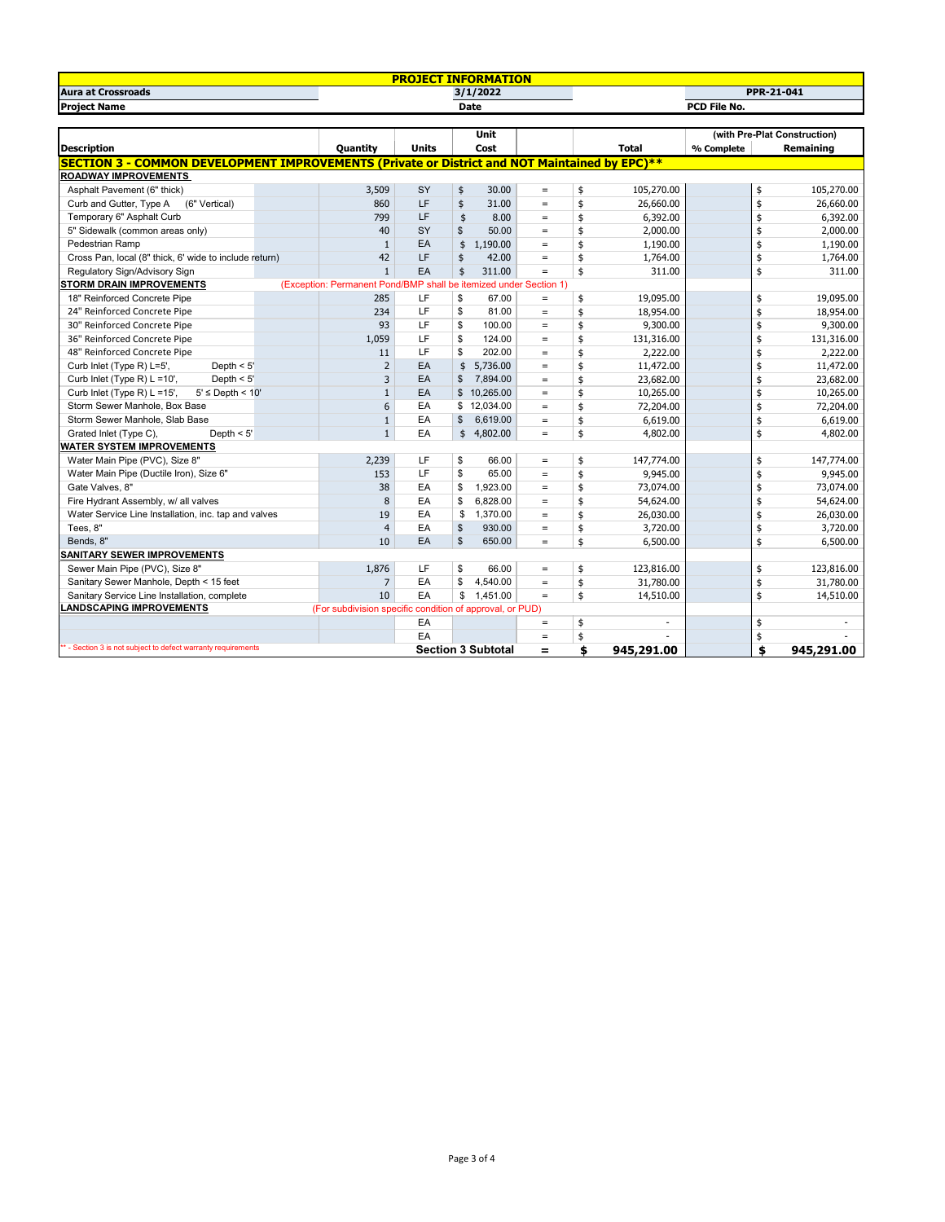| <b>PROJECT INFORMATION</b>                                                                           |             |                                                                   |              |                           |                   |    |              |            |    |                              |
|------------------------------------------------------------------------------------------------------|-------------|-------------------------------------------------------------------|--------------|---------------------------|-------------------|----|--------------|------------|----|------------------------------|
| <b>Aura at Crossroads</b>                                                                            |             |                                                                   |              | 3/1/2022                  |                   |    |              |            |    | <b>PPR-21-041</b>            |
| <b>Project Name</b>                                                                                  | <b>Date</b> |                                                                   |              |                           | PCD File No.      |    |              |            |    |                              |
|                                                                                                      |             |                                                                   |              |                           |                   |    |              |            |    |                              |
|                                                                                                      |             |                                                                   |              | <b>Unit</b>               |                   |    |              |            |    | (with Pre-Plat Construction) |
| <b>Description</b>                                                                                   |             | <b>Quantity</b>                                                   | <b>Units</b> | Cost                      |                   |    | <b>Total</b> | % Complete |    | Remaining                    |
| <b>SECTION 3 - COMMON DEVELOPMENT IMPROVEMENTS (Private or District and NOT Maintained by EPC)**</b> |             |                                                                   |              |                           |                   |    |              |            |    |                              |
| <b>ROADWAY IMPROVEMENTS</b>                                                                          |             |                                                                   |              |                           |                   |    |              |            |    |                              |
| Asphalt Pavement (6" thick)                                                                          |             | 3,509                                                             | SY           | 30.00<br>\$               | $\qquad \qquad =$ | \$ | 105,270.00   |            | \$ | 105,270.00                   |
| (6" Vertical)<br>Curb and Gutter, Type A                                                             |             | 860                                                               | LF           | \$<br>31.00               | $=$               | \$ | 26,660.00    |            | \$ | 26,660.00                    |
| Temporary 6" Asphalt Curb                                                                            |             | 799                                                               | LF           | \$<br>8.00                | $\qquad \qquad =$ | \$ | 6,392.00     |            | \$ | 6,392.00                     |
| 5" Sidewalk (common areas only)                                                                      |             | 40                                                                | SY           | 50.00<br>\$               | $\equiv$          | \$ | 2,000.00     |            | \$ | 2,000.00                     |
| Pedestrian Ramp                                                                                      |             | $\mathbf{1}$                                                      | EA           | \$<br>1,190.00            | $\qquad \qquad =$ | \$ | 1,190.00     |            | \$ | 1,190.00                     |
| Cross Pan, local (8" thick, 6' wide to include return)                                               |             | 42                                                                | LF           | \$<br>42.00               | $\qquad \qquad =$ | \$ | 1,764.00     |            | \$ | 1,764.00                     |
| Regulatory Sign/Advisory Sign                                                                        |             | $\mathbf{1}$                                                      | EA           | 311.00<br>\$              | $\qquad \qquad =$ | \$ | 311.00       |            | \$ | 311.00                       |
| <b>STORM DRAIN IMPROVEMENTS</b>                                                                      |             | (Exception: Permanent Pond/BMP shall be itemized under Section 1) |              |                           |                   |    |              |            |    |                              |
| 18" Reinforced Concrete Pipe                                                                         |             | 285                                                               | LF           | \$<br>67.00               | $\equiv$          | \$ | 19,095.00    |            | \$ | 19,095.00                    |
| 24" Reinforced Concrete Pipe                                                                         |             | 234                                                               | LF           | \$<br>81.00               | $\equiv$          | \$ | 18,954.00    |            | \$ | 18,954.00                    |
| 30" Reinforced Concrete Pipe                                                                         |             | 93                                                                | LF           | \$<br>100.00              | $\equiv$          | \$ | 9,300.00     |            | \$ | 9,300.00                     |
| 36" Reinforced Concrete Pipe                                                                         |             | 1,059                                                             | LF           | \$<br>124.00              | $\equiv$          | \$ | 131,316.00   |            | \$ | 131,316.00                   |
| 48" Reinforced Concrete Pipe                                                                         |             | 11                                                                | LF           | 202.00<br>\$              | $\equiv$          | \$ | 2,222.00     |            | \$ | 2,222.00                     |
| Curb Inlet (Type R) L=5',<br>Depth $<$ 5'                                                            |             | $\overline{2}$                                                    | EA           | \$<br>5,736.00            | $\equiv$          | \$ | 11,472.00    |            | \$ | 11,472.00                    |
| Curb Inlet (Type R) L =10',<br>Depth $< 5'$                                                          |             | 3                                                                 | EA           | 7,894.00<br>\$            | $\equiv$          | \$ | 23,682.00    |            | \$ | 23,682.00                    |
| Curb Inlet (Type R) L =15',<br>$5' \le$ Depth < $10'$                                                |             | $\mathbf{1}$                                                      | EA           | 10,265.00<br>\$           | $\equiv$          | \$ | 10,265.00    |            | \$ | 10,265.00                    |
| Storm Sewer Manhole, Box Base                                                                        |             | 6                                                                 | EA           | 12,034.00<br>\$           | $\equiv$          | \$ | 72,204.00    |            | \$ | 72,204.00                    |
| Storm Sewer Manhole, Slab Base                                                                       |             | $\mathbf{1}$                                                      | EA           | \$<br>6,619.00            | $\equiv$          | \$ | 6,619.00     |            | \$ | 6,619.00                     |
| Depth $< 5'$<br>Grated Inlet (Type C),                                                               |             | $\mathbf{1}$                                                      | EA           | \$4.802.00                | $\qquad \qquad =$ | \$ | 4,802.00     |            | \$ | 4,802.00                     |
| WATER SYSTEM IMPROVEMENTS                                                                            |             |                                                                   |              |                           |                   |    |              |            |    |                              |
| Water Main Pipe (PVC), Size 8"                                                                       |             | 2,239                                                             | LF           | \$<br>66.00               | $\equiv$          | \$ | 147,774.00   |            | \$ | 147,774.00                   |
| Water Main Pipe (Ductile Iron), Size 6"                                                              |             | 153                                                               | LF           | \$<br>65.00               | $\equiv$          | \$ | 9,945.00     |            | \$ | 9,945.00                     |
| Gate Valves, 8"                                                                                      |             | 38                                                                | EA           | 1,923.00<br>\$            | $=$               | \$ | 73,074.00    |            | \$ | 73,074.00                    |
| Fire Hydrant Assembly, w/ all valves                                                                 |             | 8                                                                 | EA           | \$<br>6,828.00            | $\equiv$          | \$ | 54,624.00    |            | \$ | 54,624.00                    |
| Water Service Line Installation, inc. tap and valves                                                 |             | 19                                                                | EA           | \$<br>1,370.00            | $=$               | \$ | 26,030.00    |            | \$ | 26,030.00                    |
| Tees, 8"                                                                                             |             | $\overline{4}$                                                    | EA           | \$<br>930.00              | $\equiv$          | \$ | 3,720.00     |            | \$ | 3,720.00                     |
| Bends, 8"                                                                                            |             | 10                                                                | EA           | $\mathbf{s}$<br>650.00    | $\equiv$          | \$ | 6,500.00     |            | \$ | 6,500.00                     |
| SANITARY SEWER IMPROVEMENTS                                                                          |             |                                                                   |              |                           |                   |    |              |            |    |                              |
| Sewer Main Pipe (PVC), Size 8"                                                                       |             | 1,876                                                             | LF           | \$<br>66.00               | $\qquad \qquad =$ | \$ | 123,816.00   |            | \$ | 123,816.00                   |
| Sanitary Sewer Manhole, Depth < 15 feet                                                              |             | 7                                                                 | EA           | \$<br>4,540.00            | $\qquad \qquad =$ | \$ | 31,780.00    |            | \$ | 31,780.00                    |
| Sanitary Service Line Installation, complete                                                         |             | 10                                                                | EA           | \$<br>1,451.00            | $=$               | \$ | 14,510.00    |            | \$ | 14,510.00                    |
| <b>LANDSCAPING IMPROVEMENTS</b>                                                                      |             | (For subdivision specific condition of approval, or PUD)          |              |                           |                   |    |              |            |    |                              |
|                                                                                                      |             |                                                                   | EA           |                           | $\equiv$          | \$ | ÷.           |            | \$ |                              |
|                                                                                                      |             |                                                                   | EA           |                           | $\qquad \qquad =$ | \$ |              |            | \$ |                              |
| ** - Section 3 is not subject to defect warranty requirements                                        |             |                                                                   |              | <b>Section 3 Subtotal</b> | $=$               | \$ | 945,291.00   |            | \$ | 945,291.00                   |